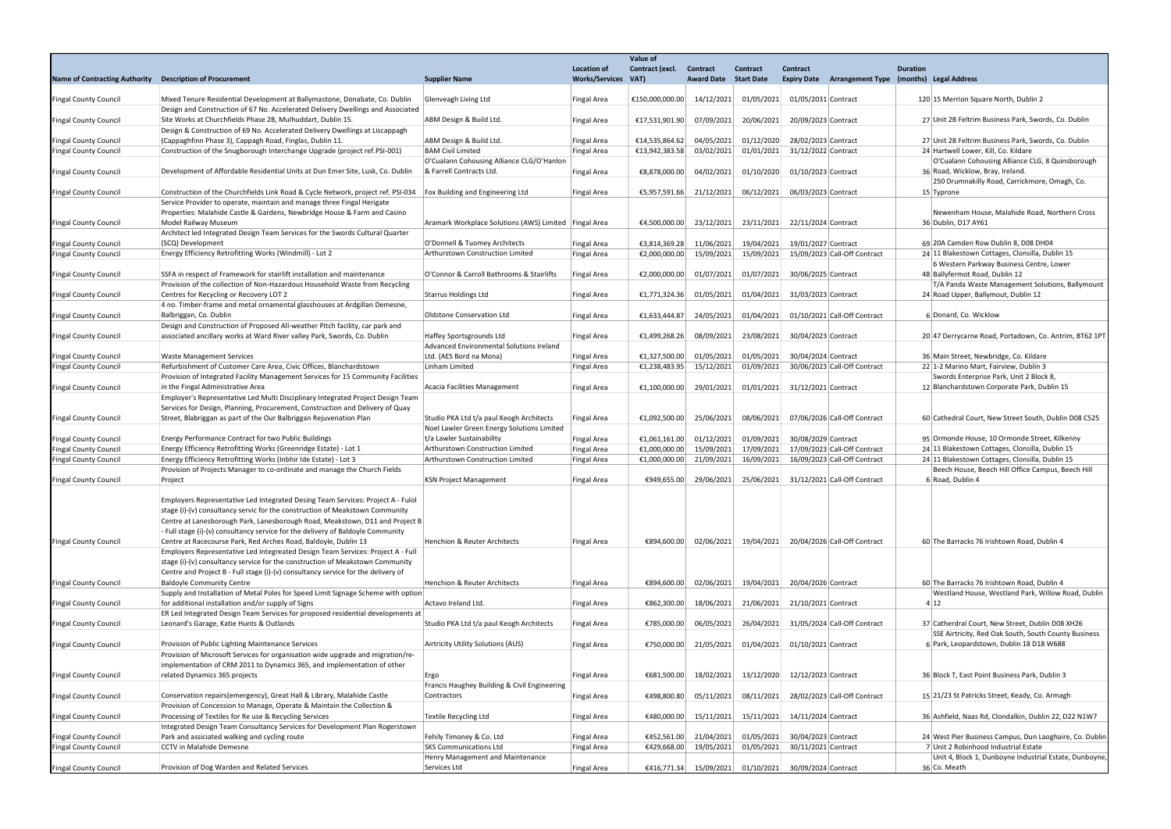|                                      | Value of                                                                                                                              |                                                       |                     |                 |                              |                                                       |                                |                                                    |                                                         |  |  |
|--------------------------------------|---------------------------------------------------------------------------------------------------------------------------------------|-------------------------------------------------------|---------------------|-----------------|------------------------------|-------------------------------------------------------|--------------------------------|----------------------------------------------------|---------------------------------------------------------|--|--|
|                                      |                                                                                                                                       |                                                       | <b>Location of</b>  | Contract (excl. | <b>Contract</b>              | Contract                                              | <b>Contract</b>                |                                                    | <b>Duration</b>                                         |  |  |
| <b>Name of Contracting Authority</b> | <b>Description of Procurement</b>                                                                                                     | <b>Supplier Name</b>                                  | Works/Services VAT) |                 | <b>Award Date Start Date</b> |                                                       |                                |                                                    | Expiry Date Arrangement Type (months) Legal Address     |  |  |
|                                      |                                                                                                                                       |                                                       |                     |                 |                              |                                                       |                                |                                                    |                                                         |  |  |
| <b>Fingal County Council</b>         | Mixed Tenure Residential Development at Ballymastone, Donabate, Co. Dublin                                                            | Glenveagh Living Ltd                                  | Fingal Area         | €150,000,000.00 | 14/12/2021                   | 01/05/2021                                            | 01/05/2031 Contract            |                                                    | 120 15 Merrion Square North, Dublin 2                   |  |  |
|                                      | Design and Construction of 67 No. Accelerated Delivery Dwellings and Associated                                                       |                                                       |                     |                 |                              |                                                       |                                |                                                    |                                                         |  |  |
| <b>Fingal County Council</b>         | Site Works at Churchfields Phase 2B, Mulhuddart, Dublin 15.                                                                           | ABM Design & Build Ltd.                               | Fingal Area         | €17,531,901.90  | 07/09/2021                   | 20/06/2021                                            | 20/09/2023 Contract            |                                                    | 27 Unit 2B Feltrim Business Park, Swords, Co. Dublin    |  |  |
|                                      | Design & Construction of 69 No. Accelerated Delivery Dwellings at Liscappagh                                                          |                                                       |                     |                 |                              |                                                       |                                |                                                    |                                                         |  |  |
| <b>Fingal County Council</b>         | (Cappaghfinn Phase 3), Cappagh Road, Finglas, Dublin 11.                                                                              | ABM Design & Build Ltd.                               | <b>Fingal Area</b>  | €14,535,864.62  | 04/05/2021                   | 01/12/2020                                            | 28/02/2023 Contract            |                                                    | 27 Unit 2B Feltrim Business Park, Swords, Co. Dublin    |  |  |
| <b>Fingal County Council</b>         | Construction of the Snugborough Interchange Upgrade (project ref.PSI-001)                                                             | <b>BAM Civil Limited</b>                              | Fingal Area         | €13,942,383.58  | 03/02/2021                   | 01/01/2021                                            | 31/12/2022 Contract            |                                                    | 24 Hartwell Lower, Kill, Co. Kildare                    |  |  |
|                                      |                                                                                                                                       | O'Cualann Cohousing Alliance CLG/O'Hanlon             |                     |                 |                              |                                                       |                                |                                                    | O'Cualann Cohousing Alliance CLG, 8 Quinsborough        |  |  |
| <b>Fingal County Council</b>         | Development of Affordable Residential Units at Dun Emer Site, Lusk, Co. Dublin                                                        | & Farrell Contracts Ltd.                              | Fingal Area         | €8,878,000.00   | 04/02/2021                   | 01/10/2020                                            | 01/10/2023 Contract            |                                                    | 36 Road, Wicklow, Bray, Ireland.                        |  |  |
|                                      |                                                                                                                                       |                                                       |                     |                 |                              |                                                       |                                |                                                    | 250 Drumnakilly Road, Carrickmore, Omagh, Co.           |  |  |
| <b>Fingal County Council</b>         | Construction of the Churchfields Link Road & Cycle Network, project ref. PSI-034                                                      | Fox Building and Engineering Ltd                      | Fingal Area         | €5,957,591.66   | 21/12/2021                   | 06/12/2021                                            | 06/03/2023 Contract            |                                                    | 15 Typrone                                              |  |  |
|                                      | Service Provider to operate, maintain and manage three Fingal Herigate                                                                |                                                       |                     |                 |                              |                                                       |                                |                                                    |                                                         |  |  |
|                                      | Properties: Malahide Castle & Gardens, Newbridge House & Farm and Casino                                                              |                                                       |                     |                 |                              |                                                       |                                |                                                    | Newenham House, Malahide Road, Northern Cross           |  |  |
| <b>Fingal County Council</b>         | Model Railway Museum                                                                                                                  | Aramark Workplace Solutions (AWS) Limited Fingal Area |                     | €4,500,000.00   | 23/12/2021                   | 23/11/2021                                            | 22/11/2024 Contract            |                                                    | 36 Dublin, D17 AY61                                     |  |  |
|                                      | Architect led Integrated Design Team Services for the Swords Cultural Quarter                                                         |                                                       |                     |                 |                              |                                                       |                                |                                                    |                                                         |  |  |
| <b>Fingal County Council</b>         | (SCQ) Development                                                                                                                     | O'Donnell & Tuomey Architects                         | Fingal Area         | €3,814,369.28   | 11/06/2021                   | 19/04/2021                                            | 19/01/2027 Contract            |                                                    | 69 20A Camden Row Dublin 8, D08 DH04                    |  |  |
| <b>Fingal County Council</b>         | Energy Efficiency Retrofitting Works (Windmill) - Lot 2                                                                               | Arthurstown Construction Limited                      | Fingal Area         | €2,000,000.00   | 15/09/2021                   | 15/09/2021                                            |                                | 15/09/2023 Call-Off Contract                       | 24 11 Blakestown Cottages, Clonsilla, Dublin 15         |  |  |
|                                      |                                                                                                                                       |                                                       |                     |                 |                              |                                                       |                                |                                                    | 6 Western Parkway Business Centre, Lower                |  |  |
| <b>Fingal County Council</b>         | SSFA in respect of Framework for stairlift installation and maintenance                                                               | O'Connor & Carroll Bathrooms & Stairlifts             | Fingal Area         | €2,000,000.00   | 01/07/2021                   | 01/07/2021                                            | 30/06/2025 Contract            |                                                    | 48 Ballyfermot Road, Dublin 12                          |  |  |
|                                      | Provision of the collection of Non-Hazardous Household Waste from Recycling                                                           |                                                       |                     |                 |                              |                                                       |                                |                                                    | T/A Panda Waste Management Solutions, Ballymount        |  |  |
| <b>Fingal County Council</b>         | Centres for Recycling or Recovery LOT 2                                                                                               | <b>Starrus Holdings Ltd</b>                           | Fingal Area         | €1,771,324.36   | 01/05/2021                   | 01/04/2021                                            | 31/03/2023 Contract            |                                                    | 24 Road Upper, Ballymout, Dublin 12                     |  |  |
|                                      | 4 no. Timber-frame and metal ornamental glasshouses at Ardgillan Demesne,                                                             |                                                       |                     |                 |                              |                                                       |                                |                                                    |                                                         |  |  |
| <b>Fingal County Council</b>         | Balbriggan, Co. Dublin                                                                                                                | <b>Oldstone Conservation Ltd</b>                      | Fingal Area         | €1,633,444.87   | 24/05/2021                   | 01/04/2021                                            |                                | 01/10/2021 Call-Off Contract                       | 6 Donard, Co. Wicklow                                   |  |  |
|                                      | Design and Construction of Proposed All-weather Pitch facility, car park and                                                          |                                                       |                     |                 |                              |                                                       |                                |                                                    |                                                         |  |  |
| <b>Fingal County Council</b>         | associated ancillary works at Ward River valley Park, Swords, Co. Dublin                                                              | Haffey Sportsgrounds Ltd                              | Fingal Area         | €1,499,268.26   | 08/09/2021                   | 23/08/2021                                            | 30/04/2023 Contract            |                                                    | 20 47 Derrycarne Road, Portadown, Co. Antrim, BT62 1PT  |  |  |
|                                      |                                                                                                                                       | Advanced Environmental Solutions Ireland              |                     |                 |                              |                                                       |                                |                                                    |                                                         |  |  |
| <b>Fingal County Council</b>         | <b>Waste Management Services</b>                                                                                                      | Ltd. (AES Bord na Mona)                               | Fingal Area         | €1,327,500.00   | 01/05/2021                   | 01/05/2021                                            | 30/04/2024 Contract            |                                                    | 36 Main Street, Newbridge, Co. Kildare                  |  |  |
| <b>Fingal County Council</b>         | Refurbishment of Customer Care Area, Civic Offices, Blanchardstown                                                                    | Linham Limited                                        | Fingal Area         | €1,238,483.95   | 15/12/2021                   | 01/09/2021                                            |                                | 30/06/2023 Call-Off Contract                       | 22 1-2 Marino Mart, Fairview, Dublin 3                  |  |  |
|                                      | Provision of Integrated Facility Management Services for 15 Community Facilities                                                      |                                                       |                     |                 |                              |                                                       |                                |                                                    | Swords Enterprise Park, Unit 2 Block 8,                 |  |  |
| <b>Fingal County Council</b>         | in the Fingal Administrative Area                                                                                                     | Acacia Facilities Management                          | Fingal Area         | €1,100,000.00   | 29/01/2021                   | 01/01/2021                                            | 31/12/2021 Contract            |                                                    | 12 Blanchardstown Corporate Park, Dublin 15             |  |  |
|                                      | Employer's Representative Led Multi Disciplinary Integrated Project Design Team                                                       |                                                       |                     |                 |                              |                                                       |                                |                                                    |                                                         |  |  |
|                                      | Services for Design, Planning, Procurement, Construction and Delivery of Quay                                                         |                                                       |                     |                 |                              |                                                       |                                |                                                    |                                                         |  |  |
| <b>Fingal County Council</b>         | Street, Blabriggan as part of the Our Balbriggan Rejuvenation Plan                                                                    | Studio PKA Ltd t/a paul Keogh Architects              | Fingal Area         | €1,092,500.00   | 25/06/2021                   | 08/06/2021                                            |                                | 07/06/2026 Call-Off Contract                       | 60 Cathedral Court, New Street South, Dublin D08 C525   |  |  |
|                                      |                                                                                                                                       | Noel Lawler Green Energy Solutions Limited            |                     |                 |                              |                                                       |                                |                                                    |                                                         |  |  |
| <b>Fingal County Council</b>         | <b>Energy Performance Contract for two Public Buildings</b>                                                                           | t/a Lawler Sustainability                             | Fingal Area         | €1,061,161.00   | 01/12/2021                   | 01/09/2021                                            | 30/08/2029 Contract            |                                                    | 95 Ormonde House, 10 Ormonde Street, Kilkenny           |  |  |
| <b>Fingal County Council</b>         | Energy Efficiency Retrofitting Works (Greenridge Estate) - Lot 1                                                                      | <b>Arthurstown Construction Limited</b>               | Fingal Area         | €1,000,000.00   | 15/09/2021                   | 17/09/2021                                            |                                | 17/09/2023 Call-Off Contract                       | 24 11 Blakestown Cottages, Clonsilla, Dublin 15         |  |  |
| <b>Fingal County Council</b>         | Energy Efficiency Retrofitting Works (Inbhir Ide Estate) - Lot 3                                                                      | Arthurstown Construction Limited                      | Fingal Area         | €1,000,000.00   | 21/09/2021                   | 16/09/2021                                            |                                | 16/09/2023 Call-Off Contract                       | 24 11 Blakestown Cottages, Clonsilla, Dublin 15         |  |  |
|                                      | Provision of Projects Manager to co-ordinate and manage the Church Fields                                                             |                                                       |                     |                 |                              |                                                       |                                |                                                    | Beech House, Beech Hill Office Campus, Beech Hill       |  |  |
| <b>Fingal County Council</b>         | Project                                                                                                                               | <b>KSN Project Management</b>                         | Fingal Area         | €949,655.00     |                              |                                                       |                                | 29/06/2021 25/06/2021 31/12/2021 Call-Off Contract | 6 Road, Dublin 4                                        |  |  |
|                                      |                                                                                                                                       |                                                       |                     |                 |                              |                                                       |                                |                                                    |                                                         |  |  |
|                                      | Employers Representative Led Integrated Desing Team Services: Project A - Fulol                                                       |                                                       |                     |                 |                              |                                                       |                                |                                                    |                                                         |  |  |
|                                      | stage (i)-(v) consultancy servic for the construction of Meakstown Community                                                          |                                                       |                     |                 |                              |                                                       |                                |                                                    |                                                         |  |  |
|                                      | Centre at Lanesborough Park, Lanesborough Road, Meakstown, D11 and Project B                                                          |                                                       |                     |                 |                              |                                                       |                                |                                                    |                                                         |  |  |
|                                      | - Full stage (i)-(v) consultancy service for the delivery of Baldoyle Community                                                       |                                                       |                     |                 |                              |                                                       |                                |                                                    |                                                         |  |  |
| <b>Fingal County Council</b>         | Centre at Racecourse Park, Red Arches Road, Baldoyle, Dublin 13                                                                       | Henchion & Reuter Architects                          | Fingal Area         | €894,600.00     |                              |                                                       |                                | 02/06/2021 19/04/2021 20/04/2026 Call-Off Contract | 60 The Barracks 76 Irishtown Road, Dublin 4             |  |  |
|                                      | Employers Representative Led Integreated Design Team Services: Project A - Full                                                       |                                                       |                     |                 |                              |                                                       |                                |                                                    |                                                         |  |  |
|                                      | stage (i)-(v) consultancy service for the construction of Meakstown Community                                                         |                                                       |                     |                 |                              |                                                       |                                |                                                    |                                                         |  |  |
|                                      | Centre and Project B - Full stage (i)-(v) consultancy service for the delivery of                                                     |                                                       |                     |                 |                              |                                                       |                                |                                                    |                                                         |  |  |
|                                      | <b>Baldoyle Community Centre</b>                                                                                                      | Henchion & Reuter Architects                          |                     |                 | 02/06/2021                   |                                                       | 19/04/2021 20/04/2026 Contract |                                                    | 60 The Barracks 76 Irishtown Road, Dublin 4             |  |  |
| <b>Fingal County Council</b>         | Supply and Installation of Metal Poles for Speed Limit Signage Scheme with option                                                     |                                                       | Fingal Area         | €894,600.00     |                              |                                                       |                                |                                                    | Westland House, Westland Park, Willow Road, Dublin      |  |  |
|                                      |                                                                                                                                       | Actavo Ireland Ltd.                                   |                     |                 |                              |                                                       |                                |                                                    |                                                         |  |  |
| <b>Fingal County Council</b>         | for additional installation and/or supply of Signs<br>ER Led Integrated Design Team Services for proposed residential developments at |                                                       | Fingal Area         | €862,300.00     | 18/06/2021                   |                                                       | 21/06/2021 21/10/2021 Contract |                                                    | 4 12                                                    |  |  |
|                                      |                                                                                                                                       |                                                       |                     |                 |                              |                                                       |                                |                                                    |                                                         |  |  |
| <b>Fingal County Council</b>         | Leonard's Garage, Katie Hunts & Outlands                                                                                              | Studio PKA Ltd t/a paul Keogh Architects              | Fingal Area         | €785,000.00     | 06/05/2021                   | 26/04/2021                                            |                                | 31/05/2024 Call-Off Contract                       | 37 Catherdral Court, New Street, Dublin D08 XH26        |  |  |
|                                      |                                                                                                                                       |                                                       |                     |                 |                              |                                                       |                                |                                                    | SSE Airtricity, Red Oak South, South County Business    |  |  |
| <b>Fingal County Council</b>         | Provision of Public Lighting Maintenance Services                                                                                     | Airtricity Utility Solutions (AUS)                    | Fingal Area         | €750,000.00     | 21/05/2021                   | 01/04/2021                                            | 01/10/2021 Contract            |                                                    | 6 Park, Leopardstown, Dublin 18 D18 W688                |  |  |
|                                      | Provision of Microsoft Services for organisation wide upgrade and migration/re-                                                       |                                                       |                     |                 |                              |                                                       |                                |                                                    |                                                         |  |  |
|                                      | implementation of CRM 2011 to Dynamics 365, and implementation of other                                                               |                                                       |                     |                 |                              |                                                       |                                |                                                    |                                                         |  |  |
| <b>Fingal County Council</b>         | related Dynamics 365 projects                                                                                                         | Ergo                                                  | Fingal Area         | €681,500.00     |                              | 18/02/2021 13/12/2020                                 | 12/12/2023 Contract            |                                                    | 36 Block T, East Point Business Park, Dublin 3          |  |  |
|                                      |                                                                                                                                       | Francis Haughey Building & Civil Engineering          |                     |                 |                              |                                                       |                                |                                                    |                                                         |  |  |
| <b>Fingal County Council</b>         | Conservation repairs(emergency), Great Hall & Library, Malahide Castle                                                                | Contractors                                           | Fingal Area         | €498,800.80     | 05/11/2021                   | 08/11/2021                                            |                                | 28/02/2023 Call-Off Contract                       | 15 21/23 St Patricks Street, Keady, Co. Armagh          |  |  |
|                                      | Provision of Concession to Manage, Operate & Maintain the Collection &                                                                |                                                       |                     |                 |                              |                                                       |                                |                                                    |                                                         |  |  |
| <b>Fingal County Council</b>         | Processing of Textiles for Re use & Recycling Services                                                                                | <b>Textile Recycling Ltd</b>                          | Fingal Area         | €480,000.00     | 15/11/2021                   |                                                       | 15/11/2021 14/11/2024 Contract |                                                    | 36 Ashfield, Naas Rd, Clondalkin, Dublin 22, D22 N1W7   |  |  |
|                                      | Integrated Design Team Consultancy Services for Development Plan Rogerstown                                                           |                                                       |                     |                 |                              |                                                       |                                |                                                    |                                                         |  |  |
| <b>Fingal County Council</b>         | Park and assiciated walking and cycling route                                                                                         | Fehily Timoney & Co. Ltd                              | Fingal Area         | €452,561.00     | 21/04/2021                   | 01/05/2021                                            | 30/04/2023 Contract            |                                                    | 24 West Pier Business Campus, Dun Laoghaire, Co. Dublin |  |  |
| <b>Fingal County Council</b>         | <b>CCTV</b> in Malahide Demesne                                                                                                       | <b>SKS Communications Ltd</b>                         | Fingal Area         | €429,668.00     | 19/05/2021                   | 01/05/2021                                            | 30/11/2021 Contract            |                                                    | 7 Unit 2 Robinhood Industrial Estate                    |  |  |
|                                      |                                                                                                                                       | Henry Management and Maintenance                      |                     |                 |                              |                                                       |                                |                                                    | Unit 4, Block 1, Dunboyne Industrial Estate, Dunboyne,  |  |  |
| <b>Fingal County Council</b>         | Provision of Dog Warden and Related Services                                                                                          | Services Ltd                                          | Fingal Area         |                 |                              | €416,771.34 15/09/2021 01/10/2021 30/09/2024 Contract |                                |                                                    | 36 Co. Meath                                            |  |  |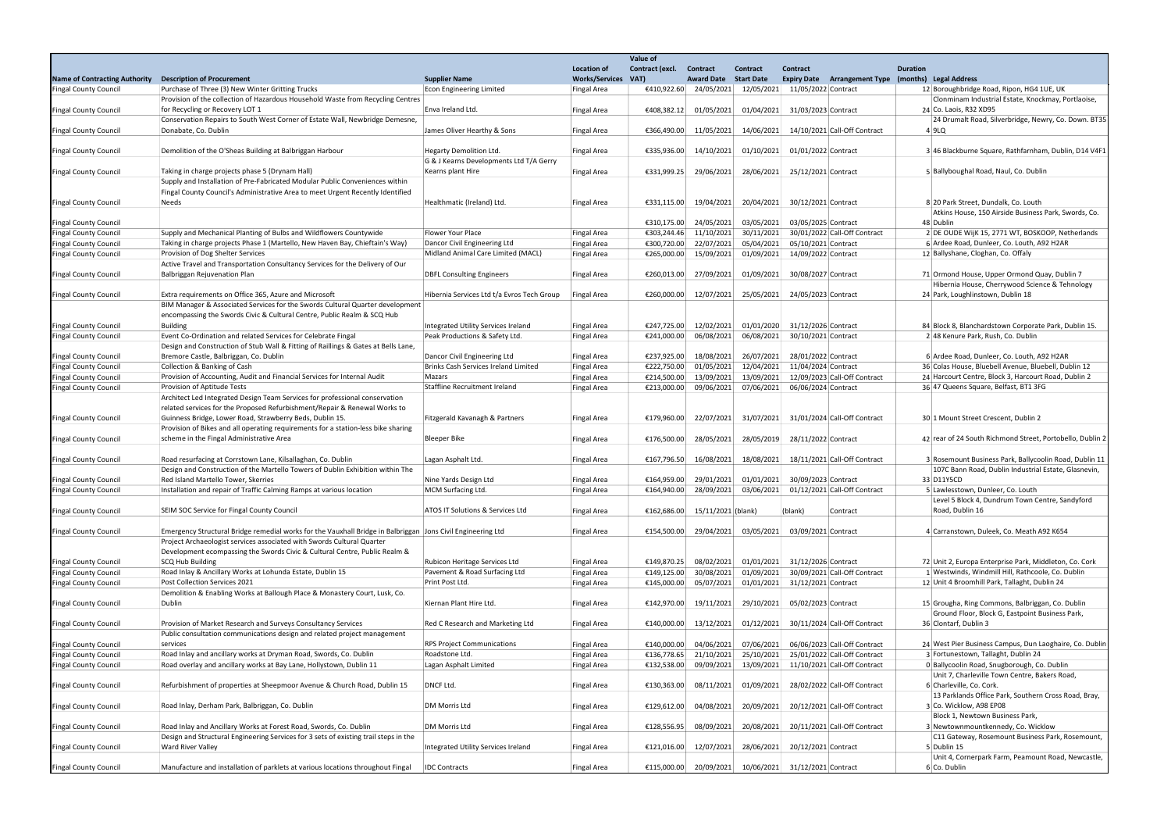|                                      |                                                                                                             |                                            |                     | Value of        |                              |                       |                                                       |                                                    |                                                           |
|--------------------------------------|-------------------------------------------------------------------------------------------------------------|--------------------------------------------|---------------------|-----------------|------------------------------|-----------------------|-------------------------------------------------------|----------------------------------------------------|-----------------------------------------------------------|
|                                      |                                                                                                             |                                            | <b>Location of</b>  | Contract (excl. | Contract                     | Contract              | <b>Contract</b>                                       | <b>Duration</b>                                    |                                                           |
| <b>Name of Contracting Authority</b> | <b>Description of Procurement</b>                                                                           | <b>Supplier Name</b>                       | Works/Services VAT) |                 | <b>Award Date Start Date</b> |                       |                                                       | <b>Expiry Date</b> Arrangement Type                | (months) Legal Address                                    |
| <b>Fingal County Council</b>         | Purchase of Three (3) New Winter Gritting Trucks                                                            | <b>Econ Engineering Limited</b>            | <b>Fingal Area</b>  |                 | €410,922.60 24/05/2021       | 12/05/2021            | 11/05/2022 Contract                                   |                                                    | 12 Boroughbridge Road, Ripon, HG4 1UE, UK                 |
|                                      | Provision of the collection of Hazardous Household Waste from Recycling Centres                             |                                            |                     |                 |                              |                       |                                                       |                                                    | Clonminam Industrial Estate, Knockmay, Portlaoise,        |
| <b>Fingal County Council</b>         | for Recycling or Recovery LOT 1                                                                             | Enva Ireland Ltd.                          | <b>Fingal Area</b>  | €408,382.12     | 01/05/2021                   | 01/04/2021            | 31/03/2023 Contract                                   |                                                    | 24 Co. Laois, R32 XD95                                    |
|                                      | Conservation Repairs to South West Corner of Estate Wall, Newbridge Demesne,                                |                                            |                     |                 |                              |                       |                                                       |                                                    | 24 Drumalt Road, Silverbridge, Newry, Co. Down. BT35      |
| <b>Fingal County Council</b>         | Donabate, Co. Dublin                                                                                        | James Oliver Hearthy & Sons                | <b>Fingal Area</b>  | €366,490.00     | 11/05/2021                   | 14/06/2021            |                                                       | 14/10/2021 Call-Off Contract                       | 4 9 LQ                                                    |
|                                      |                                                                                                             |                                            |                     |                 |                              |                       |                                                       |                                                    |                                                           |
| <b>Fingal County Council</b>         | Demolition of the O'Sheas Building at Balbriggan Harbour                                                    | Hegarty Demolition Ltd.                    | <b>Fingal Area</b>  | €335,936.00     | 14/10/2021                   | 01/10/2021            | 01/01/2022 Contract                                   |                                                    | 3 46 Blackburne Square, Rathfarnham, Dublin, D14 V4F1     |
|                                      |                                                                                                             | G & J Kearns Developments Ltd T/A Gerry    |                     |                 |                              |                       |                                                       |                                                    |                                                           |
|                                      |                                                                                                             |                                            |                     |                 |                              |                       |                                                       |                                                    |                                                           |
| <b>Fingal County Council</b>         | Taking in charge projects phase 5 (Drynam Hall)                                                             | Kearns plant Hire                          | <b>Fingal Area</b>  | €331,999.25     |                              | 29/06/2021 28/06/2021 | 25/12/2021 Contract                                   |                                                    | 5 Ballyboughal Road, Naul, Co. Dublin                     |
|                                      | Supply and Installation of Pre-Fabricated Modular Public Conveniences within                                |                                            |                     |                 |                              |                       |                                                       |                                                    |                                                           |
|                                      | Fingal County Council's Administrative Area to meet Urgent Recently Identified                              |                                            |                     |                 |                              |                       |                                                       |                                                    |                                                           |
| <b>Fingal County Council</b>         | Needs                                                                                                       | Healthmatic (Ireland) Ltd.                 | <b>Fingal Area</b>  | €331,115.00     | 19/04/2021                   | 20/04/2021            | 30/12/2021 Contract                                   |                                                    | 8 20 Park Street, Dundalk, Co. Louth                      |
|                                      |                                                                                                             |                                            |                     |                 |                              |                       |                                                       |                                                    | Atkins House, 150 Airside Business Park, Swords, Co.      |
| <b>Fingal County Council</b>         |                                                                                                             |                                            |                     | €310,175.00     | 24/05/2021                   | 03/05/2021            | 03/05/2025 Contract                                   |                                                    | 48 Dublin                                                 |
| <b>Fingal County Council</b>         | Supply and Mechanical Planting of Bulbs and Wildflowers Countywide                                          | Flower Your Place                          | <b>Fingal Area</b>  | €303,244.46     | 11/10/2021                   | 30/11/2021            |                                                       | 30/01/2022 Call-Off Contract                       | 2 DE OUDE WijK 15, 2771 WT, BOSKOOP, Netherlands          |
| <b>Fingal County Council</b>         | Taking in charge projects Phase 1 (Martello, New Haven Bay, Chieftain's Way)                                | Dancor Civil Engineering Ltd               | <b>Fingal Area</b>  | €300,720.00     | 22/07/2021                   | 05/04/2021            | 05/10/2021 Contract                                   |                                                    | 6 Ardee Road, Dunleer, Co. Louth, A92 H2AR                |
| <b>Fingal County Council</b>         | Provision of Dog Shelter Services                                                                           | Midland Animal Care Limited (MACL)         | <b>Fingal Area</b>  | €265,000.00     | 15/09/2021                   | 01/09/2021            | 14/09/2022 Contract                                   |                                                    | 12 Ballyshane, Cloghan, Co. Offaly                        |
|                                      | Active Travel and Transportation Consultancy Services for the Delivery of Our                               |                                            |                     |                 |                              |                       |                                                       |                                                    |                                                           |
| <b>Fingal County Council</b>         | Balbriggan Rejuvenation Plan                                                                                | <b>DBFL Consulting Engineers</b>           | <b>Fingal Area</b>  | €260,013.00     | 27/09/2021                   | 01/09/2021            | 30/08/2027 Contract                                   |                                                    | 71 Ormond House, Upper Ormond Quay, Dublin 7              |
|                                      |                                                                                                             |                                            |                     |                 |                              |                       |                                                       |                                                    | Hibernia House, Cherrywood Science & Tehnology            |
| <b>Fingal County Council</b>         | Extra requirements on Office 365, Azure and Microsoft                                                       | Hibernia Services Ltd t/a Evros Tech Group | Fingal Area         | €260,000.00     | 12/07/2021                   | 25/05/2021            | 24/05/2023 Contract                                   |                                                    | 24 Park, Loughlinstown, Dublin 18                         |
|                                      |                                                                                                             |                                            |                     |                 |                              |                       |                                                       |                                                    |                                                           |
|                                      | BIM Manager & Associated Services for the Swords Cultural Quarter development                               |                                            |                     |                 |                              |                       |                                                       |                                                    |                                                           |
|                                      | encompassing the Swords Civic & Cultural Centre, Public Realm & SCQ Hub                                     |                                            |                     |                 |                              |                       |                                                       |                                                    |                                                           |
| <b>Fingal County Council</b>         | Building                                                                                                    | Integrated Utility Services Ireland        | <b>Fingal Area</b>  | €247,725.00     | 12/02/2021                   | 01/01/2020            | 31/12/2026 Contract                                   |                                                    | 84 Block 8, Blanchardstown Corporate Park, Dublin 15.     |
| <b>Fingal County Council</b>         | Event Co-Ordination and related Services for Celebrate Fingal                                               | Peak Productions & Safety Ltd.             | <b>Fingal Area</b>  | €241,000.00     | 06/08/2021                   | 06/08/2021            | 30/10/2021 Contract                                   |                                                    | 2 48 Kenure Park, Rush, Co. Dublin                        |
|                                      | Design and Construction of Stub Wall & Fitting of Raillings & Gates at Bells Lane,                          |                                            |                     |                 |                              |                       |                                                       |                                                    |                                                           |
| <b>Fingal County Council</b>         | Bremore Castle, Balbriggan, Co. Dublin                                                                      | Dancor Civil Engineering Ltd               | <b>Fingal Area</b>  | €237,925.00     | 18/08/2021                   | 26/07/2021            | 28/01/2022 Contract                                   |                                                    | 6 Ardee Road, Dunleer, Co. Louth, A92 H2AR                |
| <b>Fingal County Council</b>         | Collection & Banking of Cash                                                                                | Brinks Cash Services Ireland Limited       | <b>Fingal Area</b>  | €222,750.00     | 01/05/2021                   | 12/04/2021            | 11/04/2024 Contract                                   |                                                    | 36 Colas House, Bluebell Avenue, Bluebell, Dublin 12      |
| <b>Fingal County Council</b>         | Provision of Accounting, Audit and Financial Services for Internal Audit                                    | Mazars                                     | <b>Fingal Area</b>  | €214,500.00     | 13/09/2021                   | 13/09/2021            |                                                       | 12/09/2023 Call-Off Contract                       | 24 Harcourt Centre, Block 3, Harcourt Road, Dublin 2      |
| Fingal County Council                | Provision of Aptitude Tests                                                                                 | Staffline Recruitment Ireland              | <b>Fingal Area</b>  | €213,000.00     | 09/06/2021                   | 07/06/2021            | 06/06/2024 Contract                                   |                                                    | 36 47 Queens Square, Belfast, BT1 3FG                     |
|                                      | Architect Led Integrated Design Team Services for professional conservation                                 |                                            |                     |                 |                              |                       |                                                       |                                                    |                                                           |
|                                      | related services for the Proposed Refurbishment/Repair & Renewal Works to                                   |                                            |                     |                 |                              |                       |                                                       |                                                    |                                                           |
| <b>Fingal County Council</b>         | Guinness Bridge, Lower Road, Strawberry Beds, Dublin 15.                                                    | Fitzgerald Kavanagh & Partners             | <b>Fingal Area</b>  | €179,960.00     | 22/07/2021                   | 31/07/2021            |                                                       | 31/01/2024 Call-Off Contract                       | 30 1 Mount Street Crescent, Dublin 2                      |
|                                      | Provision of Bikes and all operating requirements for a station-less bike sharing                           |                                            |                     |                 |                              |                       |                                                       |                                                    |                                                           |
|                                      | scheme in the Fingal Administrative Area                                                                    |                                            |                     |                 | 28/05/2021                   | 28/05/2019            |                                                       |                                                    |                                                           |
| <b>Fingal County Council</b>         |                                                                                                             | Bleeper Bike                               | <b>Fingal Area</b>  | €176,500.00     |                              |                       | 28/11/2022 Contract                                   |                                                    | 42 rear of 24 South Richmond Street, Portobello, Dublin . |
|                                      |                                                                                                             |                                            |                     |                 |                              |                       |                                                       |                                                    |                                                           |
| <b>Fingal County Council</b>         | Road resurfacing at Corrstown Lane, Kilsallaghan, Co. Dublin                                                | Lagan Asphalt Ltd.                         | <b>Fingal Area</b>  | €167,796.50     | 16/08/2021                   | 18/08/2021            |                                                       | 18/11/2021 Call-Off Contract                       | 3 Rosemount Business Park, Ballycoolin Road, Dublin 11    |
|                                      | Design and Construction of the Martello Towers of Dublin Exhibition within The                              |                                            |                     |                 |                              |                       |                                                       |                                                    | 107C Bann Road, Dublin Industrial Estate, Glasnevin,      |
| <b>Fingal County Council</b>         | Red Island Martello Tower, Skerries                                                                         | Nine Yards Design Ltd                      | <b>Fingal Area</b>  | €164.959.00     | 29/01/2021                   | 01/01/2021            | 30/09/2023 Contract                                   |                                                    | 33 D11Y5CD                                                |
| <b>Fingal County Council</b>         | Installation and repair of Traffic Calming Ramps at various location                                        | MCM Surfacing Ltd.                         | <b>Fingal Area</b>  | €164,940.00     | 28/09/2021                   | 03/06/2021            |                                                       | 01/12/2021 Call-Off Contract                       | 5 Lawlesstown, Dunleer, Co. Louth                         |
|                                      |                                                                                                             |                                            |                     |                 |                              |                       |                                                       |                                                    | Level 5 Block 4, Dundrum Town Centre, Sandyford           |
| <b>Fingal County Council</b>         | SEIM SOC Service for Fingal County Council                                                                  | ATOS IT Solutions & Services Ltd           | <b>Fingal Area</b>  | €162,686.00     | 15/11/2021 (blank)           |                       | (blank)                                               | Contract                                           | Road, Dublin 16                                           |
|                                      |                                                                                                             |                                            |                     |                 |                              |                       |                                                       |                                                    |                                                           |
| <b>Fingal County Council</b>         | Emergency Structural Bridge remedial works for the Vauxhall Bridge in Balbriggan Jons Civil Engineering Ltd |                                            | <b>Fingal Area</b>  | €154,500.00     |                              | 29/04/2021 03/05/2021 | 03/09/2021 Contract                                   |                                                    | 4 Carranstown, Duleek, Co. Meath A92 K654                 |
|                                      | Project Archaeologist services associated with Swords Cultural Quarter                                      |                                            |                     |                 |                              |                       |                                                       |                                                    |                                                           |
|                                      | Development ecompassing the Swords Civic & Cultural Centre, Public Realm &                                  |                                            |                     |                 |                              |                       |                                                       |                                                    |                                                           |
| <b>Fingal County Council</b>         | <b>SCQ Hub Building</b>                                                                                     | <b>Rubicon Heritage Services Ltd</b>       | <b>Fingal Area</b>  | €149,870.25     | 08/02/2021                   |                       | 01/01/2021 31/12/2026 Contract                        |                                                    | 72 Unit 2, Europa Enterprise Park, Middleton, Co. Cork    |
| <b>Fingal County Council</b>         | Road Inlay & Ancillary Works at Lohunda Estate, Dublin 15                                                   | Pavement & Road Surfacing Ltd              | <b>Fingal Area</b>  | €149,125.00     | 30/08/2021                   | 01/09/2021            |                                                       | 30/09/2021 Call-Off Contract                       | 1 Westwinds, Windmill Hill, Rathcoole, Co. Dublin         |
| <b>Fingal County Council</b>         | Post Collection Services 2021                                                                               | Print Post Ltd.                            |                     | €145,000.00     | 05/07/2021                   |                       | 01/01/2021 31/12/2021 Contract                        |                                                    |                                                           |
|                                      | Demolition & Enabling Works at Ballough Place & Monastery Court, Lusk, Co.                                  |                                            | <b>Fingal Area</b>  |                 |                              |                       |                                                       |                                                    | 12 Unit 4 Broomhill Park, Tallaght, Dublin 24             |
|                                      |                                                                                                             |                                            |                     |                 |                              |                       |                                                       |                                                    |                                                           |
| Fingal County Council                | Dublin                                                                                                      | Kiernan Plant Hire Ltd.                    | <b>Fingal Area</b>  | €142,970.00     | 19/11/2021                   | 29/10/2021            | 05/02/2023 Contract                                   |                                                    | 15 Grougha, Ring Commons, Balbriggan, Co. Dublin          |
|                                      |                                                                                                             |                                            |                     |                 |                              |                       |                                                       |                                                    | Ground Floor, Block G, Eastpoint Business Park,           |
| Fingal County Council                | Provision of Market Research and Surveys Consultancy Services                                               | Red C Research and Marketing Ltd           | <b>Fingal Area</b>  | €140,000.00     | 13/12/2021                   | 01/12/2021            |                                                       | 30/11/2024 Call-Off Contract                       | 36 Clontarf, Dublin 3                                     |
|                                      | Public consultation communications design and related project management                                    |                                            |                     |                 |                              |                       |                                                       |                                                    |                                                           |
| Fingal County Council                | services                                                                                                    | <b>RPS Project Communications</b>          | <b>Fingal Area</b>  | €140,000.00     | 04/06/2021                   | 07/06/2021            |                                                       | 06/06/2023 Call-Off Contract                       | 24 West Pier Business Campus, Dun Laoghaire, Co. Dublin   |
| Fingal County Council                | Road Inlay and ancillary works at Dryman Road, Swords, Co. Dublin                                           | Roadstone Ltd.                             | <b>Fingal Area</b>  | €136,778.65     | 21/10/2021                   | 25/10/2021            |                                                       | 25/01/2022 Call-Off Contract                       | 3 Fortunestown, Tallaght, Dublin 24                       |
| Fingal County Council                | Road overlay and ancillary works at Bay Lane, Hollystown, Dublin 11                                         | Lagan Asphalt Limited                      | <b>Fingal Area</b>  | €132,538.00     | 09/09/2021                   | 13/09/2021            |                                                       | 11/10/2021 Call-Off Contract                       | 0 Ballycoolin Road, Snugborough, Co. Dublin               |
|                                      |                                                                                                             |                                            |                     |                 |                              |                       |                                                       |                                                    | Unit 7, Charleville Town Centre, Bakers Road,             |
| Fingal County Council                | Refurbishment of properties at Sheepmoor Avenue & Church Road, Dublin 15                                    | DNCF Ltd.                                  | <b>Fingal Area</b>  | €130,363.00     | 08/11/2021                   | 01/09/2021            |                                                       | 28/02/2022 Call-Off Contract                       | 6 Charleville, Co. Cork.                                  |
|                                      |                                                                                                             |                                            |                     |                 |                              |                       |                                                       |                                                    | 13 Parklands Office Park, Southern Cross Road, Bray,      |
| <b>Fingal County Council</b>         | Road Inlay, Derham Park, Balbriggan, Co. Dublin                                                             | DM Morris Ltd                              | <b>Fingal Area</b>  | €129,612.00     | 04/08/2021                   | 20/09/2021            |                                                       | 20/12/2021 Call-Off Contract                       | 3 Co. Wicklow, A98 EP08                                   |
|                                      |                                                                                                             |                                            |                     |                 |                              |                       |                                                       |                                                    | Block 1, Newtown Business Park,                           |
|                                      |                                                                                                             |                                            |                     |                 |                              |                       |                                                       |                                                    |                                                           |
| <b>Fingal County Council</b>         | Road Inlay and Ancillary Works at Forest Road, Swords, Co. Dublin                                           | DM Morris Ltd                              | <b>Fingal Area</b>  | €128,556.95     |                              |                       |                                                       | 08/09/2021 20/08/2021 20/11/2021 Call-Off Contract | 3 Newtownmountkennedy, Co. Wicklow                        |
|                                      | Design and Structural Engineering Services for 3 sets of existing trail steps in the                        |                                            |                     |                 |                              |                       |                                                       |                                                    | C11 Gateway, Rosemount Business Park, Rosemount,          |
| Fingal County Council                | <b>Ward River Valley</b>                                                                                    | Integrated Utility Services Ireland        | <b>Fingal Area</b>  | €121,016.00     | 12/07/2021                   | 28/06/2021            | 20/12/2021 Contract                                   |                                                    | 5 Dublin 15                                               |
|                                      |                                                                                                             |                                            |                     |                 |                              |                       |                                                       |                                                    | Unit 4, Cornerpark Farm, Peamount Road, Newcastle,        |
| <b>Fingal County Council</b>         | Manufacture and installation of parklets at various locations throughout Fingal                             | <b>IDC Contracts</b>                       | <b>Fingal Area</b>  |                 |                              |                       | €115,000.00 20/09/2021 10/06/2021 31/12/2021 Contract |                                                    | 6 Co. Dublin                                              |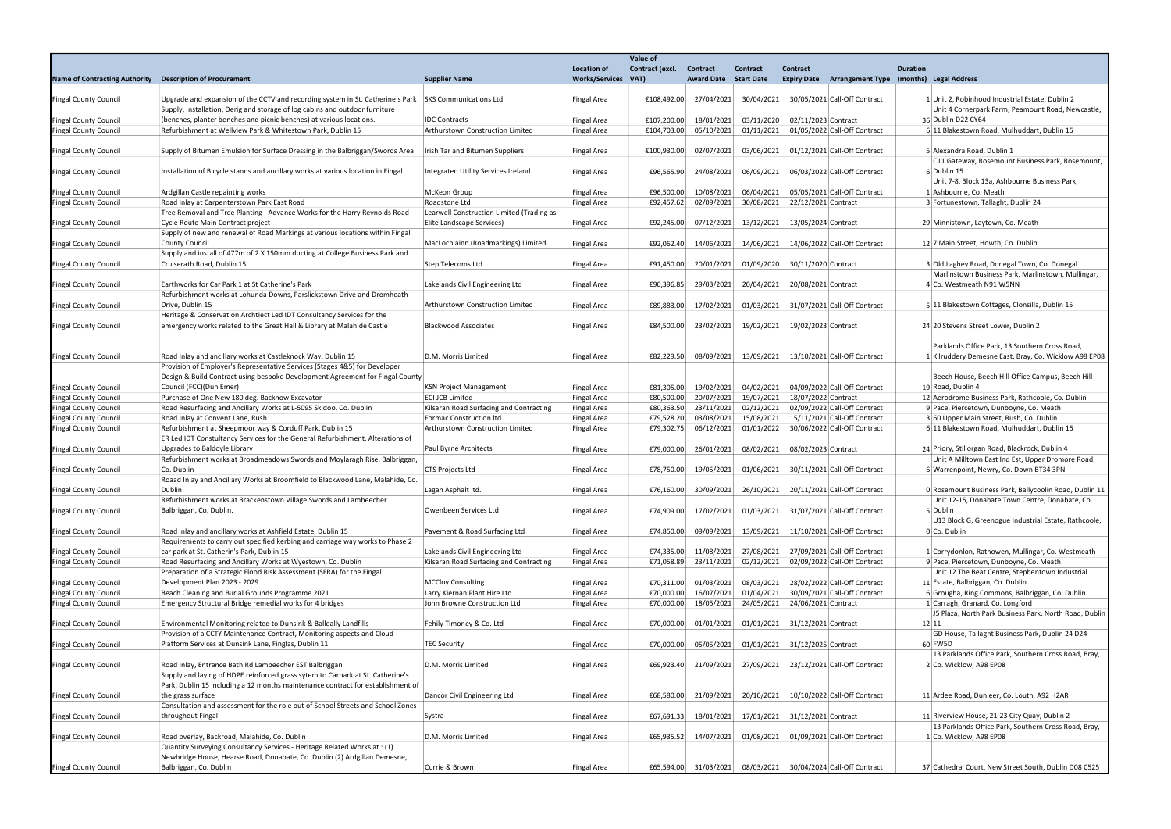|                                      | Value of                                                                                              |                                           |                     |                 |                              |                       |                                           |                                                               |                                                        |  |  |
|--------------------------------------|-------------------------------------------------------------------------------------------------------|-------------------------------------------|---------------------|-----------------|------------------------------|-----------------------|-------------------------------------------|---------------------------------------------------------------|--------------------------------------------------------|--|--|
|                                      |                                                                                                       |                                           | <b>Location of</b>  | Contract (excl. | Contract                     | Contract              | Contract                                  |                                                               | <b>Duration</b>                                        |  |  |
| <b>Name of Contracting Authority</b> | <b>Description of Procurement</b>                                                                     | <b>Supplier Name</b>                      | Works/Services VAT) |                 | <b>Award Date Start Date</b> |                       |                                           |                                                               | Expiry Date Arrangement Type (months) Legal Address    |  |  |
|                                      |                                                                                                       |                                           |                     |                 |                              |                       |                                           |                                                               |                                                        |  |  |
| <b>Fingal County Council</b>         | Upgrade and expansion of the CCTV and recording system in St. Catherine's Park SKS Communications Ltd |                                           | <b>Fingal Area</b>  | €108,492.00     | 27/04/2021                   | 30/04/2021            |                                           | 30/05/2021 Call-Off Contract                                  | 1 Unit 2, Robinhood Industrial Estate, Dublin 2        |  |  |
|                                      | Supply, Installation, Derig and storage of log cabins and outdoor furniture                           |                                           |                     |                 |                              |                       |                                           |                                                               | Unit 4 Cornerpark Farm, Peamount Road, Newcastle,      |  |  |
| <b>Fingal County Council</b>         | (benches, planter benches and picnic benches) at various locations.                                   | <b>IDC Contracts</b>                      | <b>Fingal Area</b>  | €107,200.00     | 18/01/2021                   | 03/11/2020            | 02/11/2023 Contract                       |                                                               | 36 Dublin D22 CY64                                     |  |  |
| <b>Fingal County Council</b>         | Refurbishment at Wellview Park & Whitestown Park, Dublin 15                                           | Arthurstown Construction Limited          | <b>Fingal Area</b>  | €104,703.00     | 05/10/2021                   | 01/11/2021            |                                           | 01/05/2022 Call-Off Contract                                  | 6 11 Blakestown Road, Mulhuddart, Dublin 15            |  |  |
|                                      |                                                                                                       |                                           |                     |                 |                              |                       |                                           |                                                               |                                                        |  |  |
| <b>Fingal County Council</b>         | Supply of Bitumen Emulsion for Surface Dressing in the Balbriggan/Swords Area                         | Irish Tar and Bitumen Suppliers           | Fingal Area         | €100,930.00     | 02/07/2021                   | 03/06/2021            |                                           | 01/12/2021 Call-Off Contract                                  | 5 Alexandra Road, Dublin 1                             |  |  |
|                                      |                                                                                                       |                                           |                     |                 |                              |                       |                                           |                                                               | C11 Gateway, Rosemount Business Park, Rosemount,       |  |  |
| <b>Fingal County Council</b>         | Installation of Bicycle stands and ancillary works at various location in Fingal                      | Integrated Utility Services Ireland       | Fingal Area         | €96,565.90      | 24/08/2021                   | 06/09/2021            |                                           | 06/03/2022 Call-Off Contract                                  | 6 Dublin 15                                            |  |  |
|                                      |                                                                                                       |                                           |                     |                 |                              |                       |                                           |                                                               | Unit 7-8, Block 13a, Ashbourne Business Park,          |  |  |
| <b>Fingal County Council</b>         | Ardgillan Castle repainting works                                                                     | McKeon Group                              | Fingal Area         | €96,500.00      | 10/08/2021                   | 06/04/2021            |                                           | 05/05/2021 Call-Off Contract                                  | 1 Ashbourne, Co. Meath                                 |  |  |
| <b>Fingal County Council</b>         | Road Inlay at Carpenterstown Park East Road                                                           | Roadstone Ltd                             | <b>Fingal Area</b>  | €92,457.62      | 02/09/2021                   | 30/08/2021            | 22/12/2021 Contract                       |                                                               | 3 Fortunestown, Tallaght, Dublin 24                    |  |  |
|                                      | Tree Removal and Tree Planting - Advance Works for the Harry Reynolds Road                            | Learwell Construction Limited (Trading as |                     |                 |                              |                       |                                           |                                                               |                                                        |  |  |
| <b>Fingal County Council</b>         | Cycle Route Main Contract project                                                                     | Elite Landscape Services)                 | <b>Fingal Area</b>  | €92,245.00      | 07/12/2021                   | 13/12/2021            | 13/05/2024 Contract                       |                                                               | 29 Minnistown, Laytown, Co. Meath                      |  |  |
|                                      | Supply of new and renewal of Road Markings at various locations within Fingal                         |                                           |                     |                 |                              |                       |                                           |                                                               |                                                        |  |  |
| <b>Fingal County Council</b>         | <b>County Council</b>                                                                                 | MacLochlainn (Roadmarkings) Limited       | <b>Fingal Area</b>  | €92,062.40      | 14/06/2021                   | 14/06/2021            |                                           | 14/06/2022 Call-Off Contract                                  | 12 7 Main Street, Howth, Co. Dublin                    |  |  |
|                                      | Supply and install of 477m of 2 X 150mm ducting at College Business Park and                          |                                           |                     |                 |                              |                       |                                           |                                                               |                                                        |  |  |
| <b>Fingal County Council</b>         | Cruiserath Road, Dublin 15.                                                                           | Step Telecoms Ltd                         | <b>Fingal Area</b>  | €91,450.00      | 20/01/2021                   | 01/09/2020            | 30/11/2020 Contract                       |                                                               | 3 Old Laghey Road, Donegal Town, Co. Donegal           |  |  |
|                                      |                                                                                                       |                                           |                     |                 |                              |                       |                                           |                                                               | Marlinstown Business Park, Marlinstown, Mullingar,     |  |  |
| <b>Fingal County Council</b>         | Earthworks for Car Park 1 at St Catherine's Park                                                      | Lakelands Civil Engineering Ltd           | <b>Fingal Area</b>  | €90,396.85      | 29/03/2021                   | 20/04/2021            | 20/08/2021 Contract                       |                                                               | 4 Co. Westmeath N91 W5NN                               |  |  |
|                                      | Refurbishment works at Lohunda Downs, Parslickstown Drive and Dromheath                               |                                           |                     |                 |                              |                       |                                           |                                                               |                                                        |  |  |
| Fingal County Council                | Drive, Dublin 15                                                                                      | Arthurstown Construction Limited          | <b>Fingal Area</b>  | €89,883.00      | 17/02/2021                   | 01/03/2021            |                                           | 31/07/2021 Call-Off Contract                                  | 5 11 Blakestown Cottages, Clonsilla, Dublin 15         |  |  |
|                                      | Heritage & Conservation Archtiect Led IDT Consultancy Services for the                                |                                           |                     |                 |                              |                       |                                           |                                                               |                                                        |  |  |
| <b>Fingal County Council</b>         | emergency works related to the Great Hall & Library at Malahide Castle                                | <b>Blackwood Associates</b>               | Fingal Area         | €84,500.00      | 23/02/2021                   | 19/02/2021            | 19/02/2023 Contract                       |                                                               | 24 20 Stevens Street Lower, Dublin 2                   |  |  |
|                                      |                                                                                                       |                                           |                     |                 |                              |                       |                                           |                                                               |                                                        |  |  |
|                                      |                                                                                                       |                                           |                     |                 |                              |                       |                                           |                                                               | Parklands Office Park, 13 Southern Cross Road,         |  |  |
| <b>Fingal County Council</b>         | Road Inlay and ancillary works at Castleknock Way, Dublin 15                                          | D.M. Morris Limited                       | <b>Fingal Area</b>  | €82,229.50      | 08/09/2021                   | 13/09/2021            |                                           | 13/10/2021 Call-Off Contract                                  | 1 Kilruddery Demesne East, Bray, Co. Wicklow A98 EP08  |  |  |
|                                      | Provision of Employer's Representative Services (Stages 4&5) for Developer                            |                                           |                     |                 |                              |                       |                                           |                                                               |                                                        |  |  |
|                                      | Design & Build Contract using bespoke Development Agreement for Fingal County                         |                                           |                     |                 |                              |                       |                                           |                                                               | Beech House, Beech Hill Office Campus, Beech Hill      |  |  |
| <b>Fingal County Council</b>         | Council (FCC)(Dun Emer)                                                                               | <b>KSN Project Management</b>             | Fingal Area         | €81,305.00      | 19/02/2021                   | 04/02/2021            |                                           | 04/09/2022 Call-Off Contract                                  | 19 Road, Dublin 4                                      |  |  |
| <b>Fingal County Council</b>         | Purchase of One New 180 deg. Backhow Excavator                                                        | <b>ECI JCB Limited</b>                    | <b>Fingal Area</b>  | €80,500.00      | 20/07/2021                   | 19/07/2021            | 18/07/2022 Contract                       |                                                               | 12 Aerodrome Business Park, Rathcoole, Co. Dublin      |  |  |
| <b>Fingal County Council</b>         | Road Resurfacing and Ancillary Works at L-5095 Skidoo, Co. Dublin                                     | Kilsaran Road Surfacing and Contracting   | <b>Fingal Area</b>  | €80,363.50      | 23/11/2021                   | 02/12/2021            |                                           | 02/09/2022 Call-Off Contract                                  | 9 Pace, Piercetown, Dunboyne, Co. Meath                |  |  |
| <b>Fingal County Council</b>         | Road Inlay at Convent Lane, Rush                                                                      | <b>Formac Construction Itd</b>            | <b>Fingal Area</b>  | €79,528.20      | 03/08/2021                   | 15/08/2021            |                                           | 15/11/2021 Call-Off Contract                                  | 3 60 Upper Main Street, Rush, Co. Dublin               |  |  |
| <b>Fingal County Council</b>         | Refurbishment at Sheepmoor way & Corduff Park, Dublin 15                                              | Arthurstown Construction Limited          | <b>Fingal Area</b>  | €79,302.75      | 06/12/2021                   | 01/01/2022            |                                           | 30/06/2022 Call-Off Contract                                  | 6 11 Blakestown Road, Mulhuddart, Dublin 15            |  |  |
|                                      | ER Led IDT Constultancy Services for the General Refurbishment, Alterations of                        |                                           |                     |                 |                              |                       |                                           |                                                               |                                                        |  |  |
| <b>Fingal County Council</b>         | Upgrades to Baldoyle Library                                                                          | Paul Byrne Architects                     | Fingal Area         | €79,000.00      | 26/01/2021                   | 08/02/2021            | 08/02/2023 Contract                       |                                                               | 24 Priory, Stillorgan Road, Blackrock, Dublin 4        |  |  |
|                                      | Refurbishment works at Broadmeadows Swords and Moylaragh Rise, Balbriggan,                            |                                           |                     |                 |                              |                       |                                           |                                                               | Unit A Milltown East Ind Est, Upper Dromore Road,      |  |  |
| <b>Fingal County Council</b>         | Co. Dublin                                                                                            | CTS Projects Ltd                          | Fingal Area         | €78,750.00      | 19/05/2021                   | 01/06/2021            |                                           | 30/11/2021 Call-Off Contract                                  | 6 Warrenpoint, Newry, Co. Down BT34 3PN                |  |  |
|                                      | Roaad Inlay and Ancillary Works at Broomfield to Blackwood Lane, Malahide, Co.                        |                                           |                     |                 |                              |                       |                                           |                                                               |                                                        |  |  |
| <b>Fingal County Council</b>         | Dublin                                                                                                | Lagan Asphalt Itd.                        | <b>Fingal Area</b>  |                 |                              |                       |                                           | €76,160.00 30/09/2021 26/10/2021 20/11/2021 Call-Off Contract | 0 Rosemount Business Park, Ballycoolin Road, Dublin 11 |  |  |
|                                      | Refurbishment works at Brackenstown Village Swords and Lambeecher                                     |                                           |                     |                 |                              |                       |                                           |                                                               | Unit 12-15, Donabate Town Centre, Donabate, Co.        |  |  |
| <b>Fingal County Council</b>         | Balbriggan, Co. Dublin.                                                                               | Owenbeen Services Ltd                     | Fingal Area         | €74,909.00      | 17/02/2021                   | 01/03/2021            |                                           | 31/07/2021 Call-Off Contract                                  | 5 Dublin                                               |  |  |
|                                      |                                                                                                       |                                           |                     |                 |                              |                       |                                           |                                                               | U13 Block G, Greenogue Industrial Estate, Rathcoole,   |  |  |
| <b>Fingal County Council</b>         | Road inlay and ancillary works at Ashfield Estate, Dublin 15                                          | Pavement & Road Surfacing Ltd             | <b>Fingal Area</b>  | €74,850.00      | 09/09/2021                   | 13/09/2021            |                                           | 11/10/2021 Call-Off Contract                                  | 0 Co. Dublin                                           |  |  |
|                                      | Requirements to carry out specified kerbing and carriage way works to Phase 2                         |                                           |                     |                 |                              |                       |                                           |                                                               |                                                        |  |  |
| <b>Fingal County Council</b>         | car park at St. Catherin's Park, Dublin 15                                                            | Lakelands Civil Engineering Ltd           | Fingal Area         | €74,335.00      | 11/08/2021                   | 27/08/2021            |                                           | 27/09/2021 Call-Off Contract                                  | 1 Corrydonlon, Rathowen, Mullingar, Co. Westmeath      |  |  |
| <b>Fingal County Council</b>         | Road Resurfacing and Ancillary Works at Wyestown, Co. Dublin                                          | Kilsaran Road Surfacing and Contracting   | <b>Fingal Area</b>  | €71,058.89      | 23/11/2021                   | 02/12/2021            |                                           | 02/09/2022 Call-Off Contract                                  | 9 Pace, Piercetown, Dunboyne, Co. Meath                |  |  |
|                                      | Preparation of a Strategic Flood Risk Assessment (SFRA) for the Fingal                                |                                           |                     |                 |                              |                       |                                           |                                                               | Unit 12 The Beat Centre, Stephentown Industrial        |  |  |
| <b>Fingal County Council</b>         | Development Plan 2023 - 2029                                                                          | <b>MCCloy Consulting</b>                  | Fingal Area         | €70,311.00      | 01/03/2021                   | 08/03/2021            |                                           | 28/02/2022 Call-Off Contract                                  | 11 Estate, Balbriggan, Co. Dublin                      |  |  |
| Fingal County Council                | Beach Cleaning and Burial Grounds Programme 2021                                                      | Larry Kiernan Plant Hire Ltd              | <b>Fingal Area</b>  | €70,000.00      | 16/07/2021                   | 01/04/2021            |                                           | 30/09/2021 Call-Off Contract                                  | 6 Grougha, Ring Commons, Balbriggan, Co. Dublin        |  |  |
| <b>Fingal County Council</b>         | Emergency Structural Bridge remedial works for 4 bridges                                              | John Browne Construction Ltd              | <b>Fingal Area</b>  | €70,000.00      | 18/05/2021                   | 24/05/2021            | 24/06/2021 Contract                       |                                                               | 1 Carragh, Granard, Co. Longford                       |  |  |
|                                      |                                                                                                       |                                           |                     |                 |                              |                       |                                           |                                                               | J5 Plaza, North Park Business Park, North Road, Dublin |  |  |
| <b>Fingal County Council</b>         | Environmental Monitoring related to Dunsink & Balleally Landfills                                     | Fehily Timoney & Co. Ltd                  | <b>Fingal Area</b>  | €70,000.00      | 01/01/2021                   | 01/01/2021            | 31/12/2021 Contract                       |                                                               | 12 11                                                  |  |  |
|                                      | Provision of a CCTY Maintenance Contract, Monitoring aspects and Cloud                                |                                           |                     |                 |                              |                       |                                           |                                                               | GD House, Tallaght Business Park, Dublin 24 D24        |  |  |
| <b>Fingal County Council</b>         | Platform Services at Dunsink Lane, Finglas, Dublin 11                                                 | <b>TEC Security</b>                       | <b>Fingal Area</b>  | €70,000.00      | 05/05/2021                   | 01/01/2021            | 31/12/2025 Contract                       |                                                               | 60 FW5D                                                |  |  |
|                                      |                                                                                                       |                                           |                     |                 |                              |                       |                                           |                                                               | 13 Parklands Office Park, Southern Cross Road, Bray,   |  |  |
| <b>Fingal County Council</b>         | Road Inlay, Entrance Bath Rd Lambeecher EST Balbriggan                                                | D.M. Morris Limited                       | Fingal Area         | €69,923.40      | 21/09/2021                   | 27/09/2021            |                                           | 23/12/2021 Call-Off Contract                                  | 2 Co. Wicklow, A98 EP08                                |  |  |
|                                      | Supply and laying of HDPE reinforced grass sytem to Carpark at St. Catherine's                        |                                           |                     |                 |                              |                       |                                           |                                                               |                                                        |  |  |
|                                      | Park, Dublin 15 including a 12 months maintenance contract for establishment of                       |                                           |                     |                 |                              |                       |                                           |                                                               |                                                        |  |  |
| <b>Fingal County Council</b>         | the grass surface                                                                                     | Dancor Civil Engineering Ltd              | <b>Fingal Area</b>  | €68,580.00      |                              | 21/09/2021 20/10/2021 |                                           | 10/10/2022 Call-Off Contract                                  | 11 Ardee Road, Dunleer, Co. Louth, A92 H2AR            |  |  |
|                                      | Consultation and assessment for the role out of School Streets and School Zones                       |                                           |                     |                 |                              |                       |                                           |                                                               |                                                        |  |  |
| <b>Fingal County Council</b>         | throughout Fingal                                                                                     | Systra                                    | <b>Fingal Area</b>  | €67,691.33      |                              |                       | 18/01/2021 17/01/2021 31/12/2021 Contract |                                                               | 11 Riverview House, 21-23 City Quay, Dublin 2          |  |  |
|                                      |                                                                                                       |                                           |                     |                 |                              |                       |                                           |                                                               | 13 Parklands Office Park, Southern Cross Road, Bray,   |  |  |
| <b>Fingal County Council</b>         | Road overlay, Backroad, Malahide, Co. Dublin                                                          | D.M. Morris Limited                       | <b>Fingal Area</b>  | €65,935.52      |                              |                       |                                           | 14/07/2021  01/08/2021  01/09/2021  Call-Off Contract         | 1 Co. Wicklow, A98 EP08                                |  |  |
|                                      | Quantity Surveying Consultancy Services - Heritage Related Works at : (1)                             |                                           |                     |                 |                              |                       |                                           |                                                               |                                                        |  |  |
|                                      | Newbridge House, Hearse Road, Donabate, Co. Dublin (2) Ardgillan Demesne,                             |                                           |                     |                 |                              |                       |                                           |                                                               |                                                        |  |  |
| <b>Fingal County Council</b>         | Balbriggan, Co. Dublin                                                                                | Currie & Brown                            | <b>Fingal Area</b>  |                 | €65,594.00 31/03/2021        |                       |                                           | 08/03/2021 30/04/2024 Call-Off Contract                       | 37 Cathedral Court, New Street South, Dublin D08 C525  |  |  |
|                                      |                                                                                                       |                                           |                     |                 |                              |                       |                                           |                                                               |                                                        |  |  |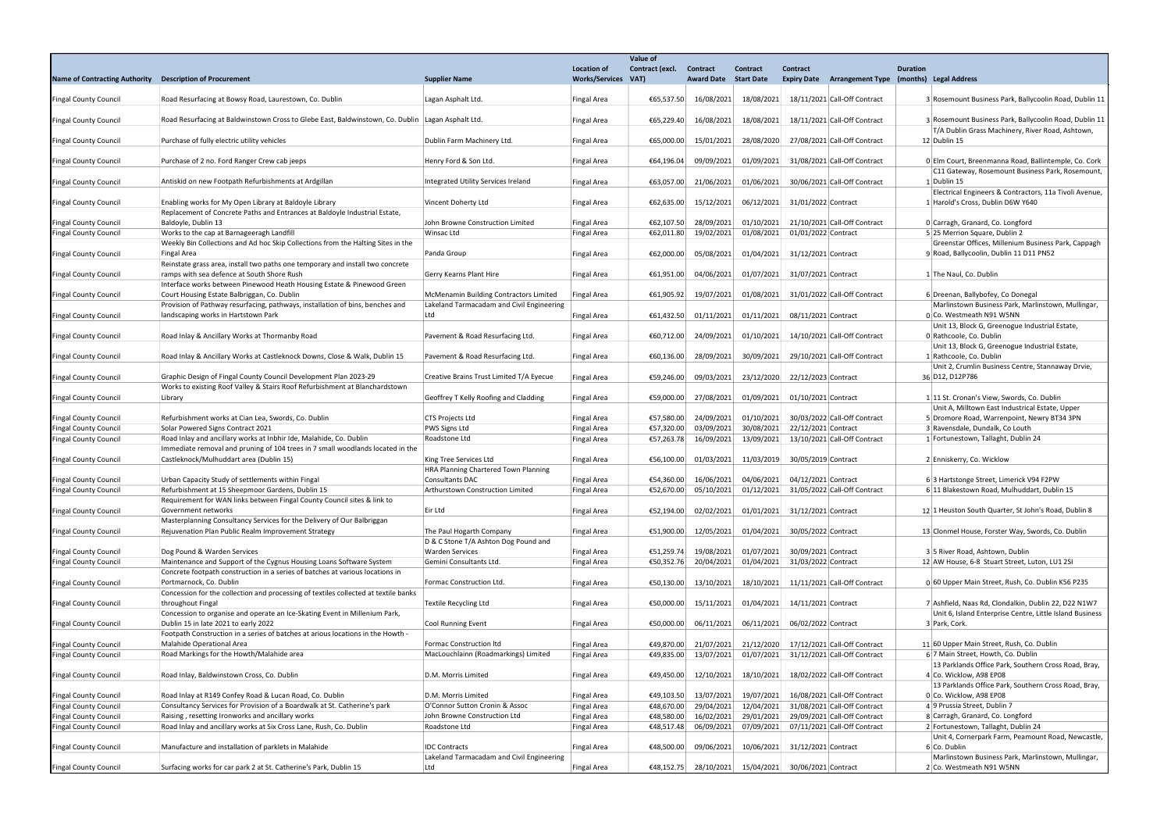|                                                       | Value of                                                                                                                                             |                                                                  |                                          |                          |                              |                          |                                             |                                                              |                                                                                                          |
|-------------------------------------------------------|------------------------------------------------------------------------------------------------------------------------------------------------------|------------------------------------------------------------------|------------------------------------------|--------------------------|------------------------------|--------------------------|---------------------------------------------|--------------------------------------------------------------|----------------------------------------------------------------------------------------------------------|
|                                                       |                                                                                                                                                      |                                                                  | <b>Location of</b>                       | Contract (excl.          | <b>Contract</b>              | Contract                 | Contract                                    |                                                              | <b>Duration</b>                                                                                          |
| <b>Name of Contracting Authority</b>                  | <b>Description of Procurement</b>                                                                                                                    | <b>Supplier Name</b>                                             | Works/Services VAT)                      |                          | <b>Award Date Start Date</b> |                          |                                             |                                                              | Expiry Date Arrangement Type (months) Legal Address                                                      |
| <b>Fingal County Council</b>                          | Road Resurfacing at Bowsy Road, Laurestown, Co. Dublin                                                                                               | Lagan Asphalt Ltd.                                               | <b>Fingal Area</b>                       | €65,537.50               | 16/08/2021                   | 18/08/2021               |                                             | 18/11/2021 Call-Off Contract                                 | 3 Rosemount Business Park, Ballycoolin Road, Dublin 11                                                   |
| <b>Fingal County Council</b>                          | Road Resurfacing at Baldwinstown Cross to Glebe East, Baldwinstown, Co. Dublin                                                                       | Lagan Asphalt Ltd.                                               | Fingal Area                              | €65,229.40               | 16/08/2021                   | 18/08/2021               |                                             | 18/11/2021 Call-Off Contract                                 | 3 Rosemount Business Park, Ballycoolin Road, Dublin 11                                                   |
| <b>Fingal County Council</b>                          | Purchase of fully electric utility vehicles                                                                                                          | Dublin Farm Machinery Ltd.                                       | Fingal Area                              | €65,000.00               | 15/01/2021                   | 28/08/2020               |                                             | 27/08/2021 Call-Off Contract                                 | T/A Dublin Grass Machinery, River Road, Ashtown,<br>12 Dublin 15                                         |
| <b>Fingal County Council</b>                          | Purchase of 2 no. Ford Ranger Crew cab jeeps                                                                                                         | Henry Ford & Son Ltd.                                            | <b>Fingal Area</b>                       | €64,196.04               | 09/09/2021                   | 01/09/2021               |                                             | 31/08/2021 Call-Off Contract                                 | 0 Elm Court, Breenmanna Road, Ballintemple, Co. Cork<br>C11 Gateway, Rosemount Business Park, Rosemount, |
| <b>Fingal County Council</b>                          | Antiskid on new Footpath Refurbishments at Ardgillan                                                                                                 | Integrated Utility Services Ireland                              | <b>Fingal Area</b>                       | €63,057.00               | 21/06/2021                   | 01/06/2021               |                                             | 30/06/2021 Call-Off Contract                                 | 1 Dublin 15                                                                                              |
| <b>Fingal County Council</b>                          | Enabling works for My Open Library at Baldoyle Library                                                                                               | Vincent Doherty Ltd                                              | <b>Fingal Area</b>                       | €62,635.00               | 15/12/2021                   | 06/12/2021               | 31/01/2022 Contract                         |                                                              | Electrical Engineers & Contractors, 11a Tivoli Avenue,<br>1 Harold's Cross, Dublin D6W Y640              |
|                                                       | Replacement of Concrete Paths and Entrances at Baldoyle Industrial Estate,                                                                           |                                                                  |                                          |                          |                              |                          |                                             |                                                              |                                                                                                          |
| <b>Fingal County Council</b><br>Fingal County Council | Baldoyle, Dublin 13<br>Works to the cap at Barnageeragh Landfill                                                                                     | John Browne Construction Limited<br>Winsac Ltd                   | <b>Fingal Area</b><br><b>Fingal Area</b> | €62,107.50<br>€62,011.80 | 28/09/2021<br>19/02/2021     | 01/10/2021<br>01/08/2021 | 01/01/2022 Contract                         | 21/10/2021 Call-Off Contract                                 | 0 Carragh, Granard, Co. Longford<br>5 25 Merrion Square, Dublin 2                                        |
|                                                       | Weekly Bin Collections and Ad hoc Skip Collections from the Halting Sites in the                                                                     |                                                                  |                                          |                          |                              |                          |                                             |                                                              | Greenstar Offices, Millenium Business Park, Cappagh                                                      |
| <b>Fingal County Council</b>                          | <b>Fingal Area</b>                                                                                                                                   | Panda Group                                                      | <b>Fingal Area</b>                       | €62,000.00               | 05/08/2021                   | 01/04/2021               | 31/12/2021 Contract                         |                                                              | 9 Road, Ballycoolin, Dublin 11 D11 PN52                                                                  |
| <b>Fingal County Council</b>                          | Reinstate grass area, install two paths one temporary and install two concrete<br>ramps with sea defence at South Shore Rush                         | Gerry Kearns Plant Hire                                          | <b>Fingal Area</b>                       | €61,951.00               | 04/06/2021                   | 01/07/2021               | 31/07/2021 Contract                         |                                                              | 1 The Naul, Co. Dublin                                                                                   |
| <b>Fingal County Council</b>                          | Interface works between Pinewood Heath Housing Estate & Pinewood Green<br>Court Housing Estate Balbriggan, Co. Dublin                                | McMenamin Building Contractors Limited                           | <b>Fingal Area</b>                       | €61,905.92               |                              |                          |                                             | 19/07/2021   01/08/2021   31/01/2022   Call-Off Contract     | 6 Dreenan, Ballybofey, Co Donegal                                                                        |
|                                                       | Provision of Pathway resurfacing, pathways, installation of bins, benches and                                                                        | Lakeland Tarmacadam and Civil Engineering                        |                                          |                          |                              |                          |                                             |                                                              | Marlinstown Business Park, Marlinstown, Mullingar,                                                       |
| <b>Fingal County Council</b>                          | landscaping works in Hartstown Park                                                                                                                  | Ltd                                                              | Fingal Area                              | €61,432.50               | 01/11/2021                   | 01/11/2021               | 08/11/2021 Contract                         |                                                              | 0 Co. Westmeath N91 W5NN<br>Unit 13, Block G, Greenogue Industrial Estate,                               |
| <b>Fingal County Council</b>                          | Road Inlay & Ancillary Works at Thormanby Road                                                                                                       | Pavement & Road Resurfacing Ltd.                                 | <b>Fingal Area</b>                       | €60,712.00               | 24/09/2021                   | 01/10/2021               |                                             | 14/10/2021 Call-Off Contract                                 | 0 Rathcoole, Co. Dublin                                                                                  |
| <b>Fingal County Council</b>                          | Road Inlay & Ancillary Works at Castleknock Downs, Close & Walk, Dublin 15                                                                           | Pavement & Road Resurfacing Ltd.                                 | <b>Fingal Area</b>                       | €60,136.00               | 28/09/2021                   | 30/09/2021               |                                             | 29/10/2021 Call-Off Contract                                 | Unit 13, Block G, Greenogue Industrial Estate,<br>1 Rathcoole, Co. Dublin                                |
| <b>Fingal County Council</b>                          | Graphic Design of Fingal County Council Development Plan 2023-29                                                                                     | Creative Brains Trust Limited T/A Eyecue                         | <b>Fingal Area</b>                       | €59,246.00               | 09/03/2021                   | 23/12/2020               | 22/12/2023 Contract                         |                                                              | Unit 2, Crumlin Business Centre, Stannaway Drvie,<br>36 D12, D12P786                                     |
|                                                       | Works to existing Roof Valley & Stairs Roof Refurbishment at Blanchardstown                                                                          |                                                                  |                                          |                          |                              |                          |                                             |                                                              |                                                                                                          |
| <b>Fingal County Council</b>                          | Library                                                                                                                                              | Geoffrey T Kelly Roofing and Cladding                            | <b>Fingal Area</b>                       | €59,000.00               | 27/08/2021                   | 01/09/2021               | 01/10/2021 Contract                         |                                                              | 1 11 St. Cronan's View, Swords, Co. Dublin<br>Unit A, Milltown East Industrical Estate, Upper            |
| Fingal County Council                                 | Refurbishment works at Cian Lea, Swords, Co. Dublin                                                                                                  | CTS Projects Ltd                                                 | <b>Fingal Area</b>                       | €57,580.00               | 24/09/2021                   | 01/10/2021               |                                             | 30/03/2022 Call-Off Contract                                 | 5 Dromore Road, Warrenpoint, Newry BT34 3PN                                                              |
| <b>Fingal County Council</b>                          | Solar Powered Signs Contract 2021                                                                                                                    | <b>PWS Signs Ltd</b>                                             | <b>Fingal Area</b>                       | €57,320.00               | 03/09/2021                   | 30/08/2021               | 22/12/2021 Contract                         |                                                              | 3 Ravensdale, Dundalk, Co Louth                                                                          |
| <b>Fingal County Council</b>                          | Road Inlay and ancillary works at Inbhir Ide, Malahide, Co. Dublin<br>Immediate removal and pruning of 104 trees in 7 small woodlands located in the | Roadstone Ltd                                                    | <b>Fingal Area</b>                       | €57,263.78               | 16/09/2021                   | 13/09/2021               |                                             | 13/10/2021 Call-Off Contract                                 | 1 Fortunestown, Tallaght, Dublin 24                                                                      |
| <b>Fingal County Council</b>                          | Castleknock/Mulhuddart area (Dublin 15)                                                                                                              | King Tree Services Ltd<br>HRA Planning Chartered Town Planning   | <b>Fingal Area</b>                       | €56,100.00               | 01/03/2021                   | 11/03/2019               | 30/05/2019 Contract                         |                                                              | 2 Enniskerry, Co. Wicklow                                                                                |
| <b>Fingal County Council</b>                          | Urban Capacity Study of settlements within Fingal                                                                                                    | <b>Consultants DAC</b>                                           | <b>Fingal Area</b>                       | €54,360.00               | 16/06/2021                   | 04/06/2021               | 04/12/2021 Contract                         |                                                              | 63 Hartstonge Street, Limerick V94 F2PW                                                                  |
| <b>Fingal County Council</b>                          | Refurbishment at 15 Sheepmoor Gardens, Dublin 15<br>Requirement for WAN links between Fingal County Council sites & link to                          | Arthurstown Construction Limited                                 | <b>Fingal Area</b>                       | €52,670.00               |                              |                          |                                             | 05/10/2021  01/12/2021  31/05/2022 Call-Off Contract         | 6 11 Blakestown Road, Mulhuddart, Dublin 15                                                              |
| Fingal County Council                                 | Government networks<br>Masterplanning Consultancy Services for the Delivery of Our Balbriggan                                                        | Eir Ltd                                                          | <b>Fingal Area</b>                       | €52,194.00               | 02/02/2021                   | 01/01/2021               | 31/12/2021 Contract                         |                                                              | 12 1 Heuston South Quarter, St John's Road, Dublin 8                                                     |
| <b>Fingal County Council</b>                          | Rejuvenation Plan Public Realm Improvement Strategy                                                                                                  | The Paul Hogarth Company<br>D & C Stone T/A Ashton Dog Pound and | <b>Fingal Area</b>                       | €51,900.00               | 12/05/2021                   | 01/04/2021               | 30/05/2022 Contract                         |                                                              | 13 Clonmel House, Forster Way, Swords, Co. Dublin                                                        |
| <b>Fingal County Council</b>                          | Dog Pound & Warden Services                                                                                                                          | Warden Services                                                  | <b>Fingal Area</b>                       | €51,259.74               | 19/08/2021                   | 01/07/2021               | 30/09/2021 Contract                         |                                                              | 3 5 River Road, Ashtown, Dublin                                                                          |
| <b>Fingal County Council</b>                          | Maintenance and Support of the Cygnus Housing Loans Software System                                                                                  | Gemini Consultants Ltd.                                          | <b>Fingal Area</b>                       | €50,352.76               | 20/04/2021                   | 01/04/2021               | 31/03/2022 Contract                         |                                                              | 12 AW House, 6-8 Stuart Street, Luton, LU1 2SI                                                           |
| Fingal County Council                                 | Concrete footpath construction in a series of batches at various locations in<br>Portmarnock, Co. Dublin                                             | Formac Construction Ltd.                                         | <b>Fingal Area</b>                       | €50,130.00               | 13/10/2021                   | 18/10/2021               |                                             | 11/11/2021 Call-Off Contract                                 | 0 60 Upper Main Street, Rush, Co. Dublin K56 P235                                                        |
|                                                       | Concession for the collection and processing of textiles collected at textile banks                                                                  |                                                                  |                                          |                          |                              |                          |                                             |                                                              |                                                                                                          |
| Fingal County Council                                 | throughout Fingal                                                                                                                                    | Textile Recycling Ltd                                            | <b>Fingal Area</b>                       | €50,000.00               | 15/11/2021                   | 01/04/2021               | 14/11/2021 Contract                         |                                                              | 7 Ashfield, Naas Rd, Clondalkin, Dublin 22, D22 N1W7                                                     |
| <b>Fingal County Council</b>                          | Concession to organise and operate an Ice-Skating Event in Millenium Park,<br>Dublin 15 in late 2021 to early 2022                                   | Cool Running Event                                               | <b>Fingal Area</b>                       | €50,000.00               | 06/11/2021                   | 06/11/2021               | 06/02/2022 Contract                         |                                                              | Unit 6, Island Enterprise Centre, Little Island Business<br>3 Park, Cork.                                |
| Fingal County Council                                 | Footpath Construction in a series of batches at arious locations in the Howth -<br>Malahide Operational Area                                         | <b>Formac Construction Itd</b>                                   | <b>Fingal Area</b>                       | €49,870.00               | 21/07/2021                   | 21/12/2020               |                                             | 17/12/2021 Call-Off Contract                                 | 11 60 Upper Main Street, Rush, Co. Dublin                                                                |
| Fingal County Council                                 | Road Markings for the Howth/Malahide area                                                                                                            | MacLouchlainn (Roadmarkings) Limited                             | <b>Fingal Area</b>                       | €49,835.00               | 13/07/2021                   | 01/07/2021               |                                             | 31/12/2021 Call-Off Contract                                 | 6 7 Main Street, Howth, Co. Dublin                                                                       |
| <b>Fingal County Council</b>                          | Road Inlay, Baldwinstown Cross, Co. Dublin                                                                                                           | D.M. Morris Limited                                              | Fingal Area                              | €49,450.00               | 12/10/2021                   | 18/10/2021               |                                             | 18/02/2022 Call-Off Contract                                 | 13 Parklands Office Park, Southern Cross Road, Bray,<br>4 Co. Wicklow, A98 EP08                          |
|                                                       |                                                                                                                                                      |                                                                  |                                          |                          |                              |                          |                                             |                                                              | 13 Parklands Office Park, Southern Cross Road, Bray,                                                     |
| Fingal County Council<br>Fingal County Council        | Road Inlay at R149 Confey Road & Lucan Road, Co. Dublin<br>Consultancy Services for Provision of a Boardwalk at St. Catherine's park                 | D.M. Morris Limited<br>O'Connor Sutton Cronin & Assoc            | <b>Fingal Area</b><br><b>Fingal Area</b> | €49,103.50<br>€48,670.00 | 13/07/2021<br>29/04/2021     | 19/07/2021<br>12/04/2021 |                                             | 16/08/2021 Call-Off Contract<br>31/08/2021 Call-Off Contract | 0 Co. Wicklow, A98 EP08<br>4 9 Prussia Street, Dublin 7                                                  |
| <b>Fingal County Council</b>                          | Raising, resetting Ironworks and ancillary works                                                                                                     | John Browne Construction Ltd                                     | <b>Fingal Area</b>                       | €48,580.00               | 16/02/2021                   | 29/01/2021               |                                             | 29/09/2021 Call-Off Contract                                 | 8 Carragh, Granard, Co. Longford                                                                         |
| <b>Fingal County Council</b>                          | Road Inlay and ancillary works at Six Cross Lane, Rush, Co. Dublin                                                                                   | Roadstone Ltd                                                    | <b>Fingal Area</b>                       | €48,517.48               | 06/09/2021                   | 07/09/2021               |                                             | 07/11/2021 Call-Off Contract                                 | 2 Fortunestown, Tallaght, Dublin 24                                                                      |
| Fingal County Council                                 | Manufacture and installation of parklets in Malahide                                                                                                 | <b>IDC Contracts</b>                                             | <b>Fingal Area</b>                       | €48,500.00               | 09/06/2021                   |                          | 10/06/2021 31/12/2021 Contract              |                                                              | Unit 4, Cornerpark Farm, Peamount Road, Newcastle,<br>6 Co. Dublin                                       |
|                                                       |                                                                                                                                                      | Lakeland Tarmacadam and Civil Engineering                        |                                          |                          |                              |                          |                                             |                                                              | Marlinstown Business Park, Marlinstown, Mullingar,                                                       |
| <b>Fingal County Council</b>                          | Surfacing works for car park 2 at St. Catherine's Park, Dublin 15                                                                                    | Ltd                                                              | <b>Fingal Area</b>                       | €48,152.75               |                              |                          | 28/10/2021  15/04/2021  30/06/2021 Contract |                                                              | 2 Co. Westmeath N91 W5NN                                                                                 |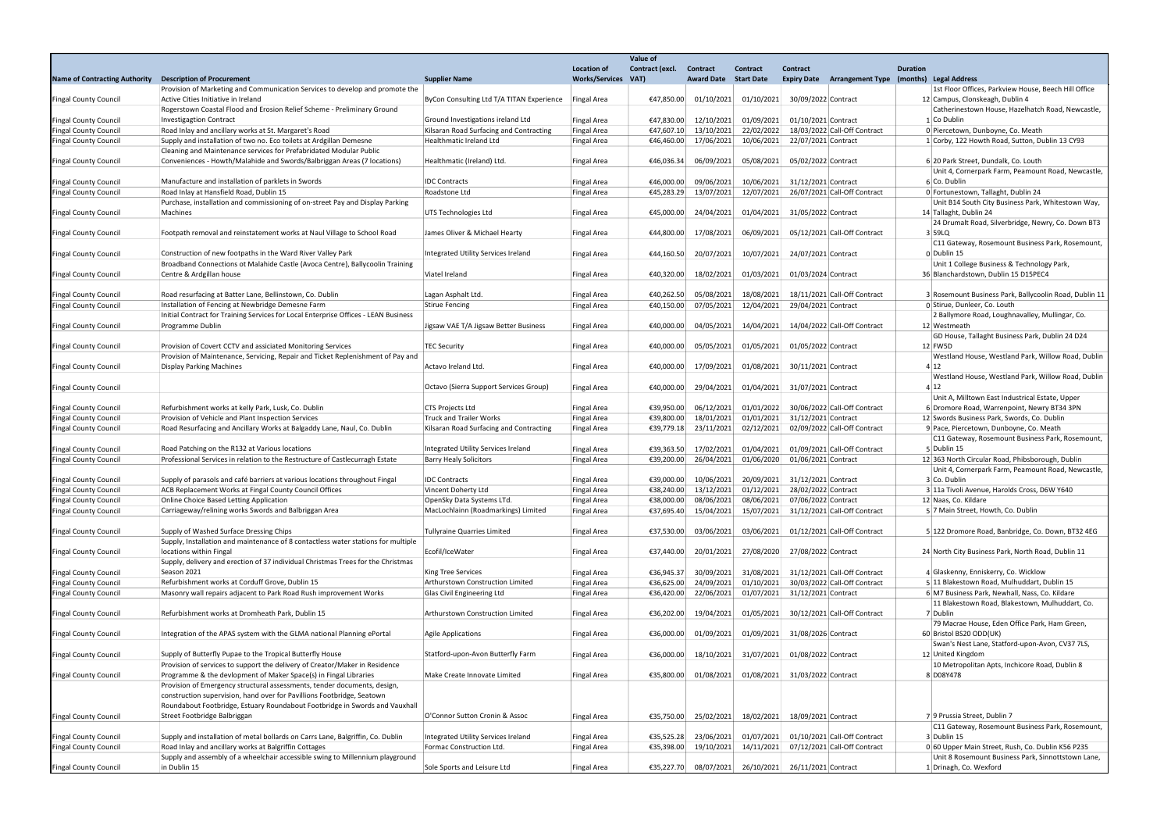|                                      | Value of                                                                                                                                      |                                           |                     |                 |                              |                       |                                                     |                                                            |  |  |  |  |
|--------------------------------------|-----------------------------------------------------------------------------------------------------------------------------------------------|-------------------------------------------|---------------------|-----------------|------------------------------|-----------------------|-----------------------------------------------------|------------------------------------------------------------|--|--|--|--|
|                                      |                                                                                                                                               |                                           | <b>Location of</b>  | Contract (excl. | Contract                     | Contract              | Contract                                            | <b>Duration</b>                                            |  |  |  |  |
| <b>Name of Contracting Authority</b> | <b>Description of Procurement</b>                                                                                                             | <b>Supplier Name</b>                      | Works/Services VAT) |                 | <b>Award Date</b> Start Date |                       | Expiry Date Arrangement Type (months) Legal Address |                                                            |  |  |  |  |
|                                      | Provision of Marketing and Communication Services to develop and promote the                                                                  |                                           |                     |                 |                              |                       |                                                     | 1st Floor Offices, Parkview House, Beech Hill Office       |  |  |  |  |
| <b>Fingal County Council</b>         | Active Cities Initiative in Ireland                                                                                                           | ByCon Consulting Ltd T/A TITAN Experience | Fingal Area         | €47,850.00      | 01/10/2021                   | 01/10/2021            | 30/09/2022 Contract                                 | 12 Campus, Clonskeagh, Dublin 4                            |  |  |  |  |
|                                      | Rogerstown Coastal Flood and Erosion Relief Scheme - Preliminary Ground                                                                       |                                           |                     |                 |                              |                       |                                                     | Catherinestown House, Hazelhatch Road, Newcastle,          |  |  |  |  |
| <b>Fingal County Council</b>         | <b>Investigagtion Contract</b>                                                                                                                | Ground Investigations ireland Ltd         | Fingal Area         | €47,830.00      | 12/10/2021                   | 01/09/2021            | 01/10/2021 Contract                                 | 1 Co Dublin                                                |  |  |  |  |
| <b>Fingal County Council</b>         | Road Inlay and ancillary works at St. Margaret's Road                                                                                         | Kilsaran Road Surfacing and Contracting   | Fingal Area         | €47,607.10      | 13/10/2021                   | 22/02/2022            | 18/03/2022 Call-Off Contract                        | 0 Piercetown, Dunboyne, Co. Meath                          |  |  |  |  |
| <b>Fingal County Council</b>         | Supply and installation of two no. Eco toilets at Ardgillan Demesne                                                                           | Healthmatic Ireland Ltd                   | Fingal Area         | €46,460.00      | 17/06/2021                   | 10/06/2021            | 22/07/2021 Contract                                 | 1 Corby, 122 Howth Road, Sutton, Dublin 13 CY93            |  |  |  |  |
|                                      | Cleaning and Maintenance services for Prefabridated Modular Public<br>Conveniences - Howth/Malahide and Swords/Balbriggan Areas (7 locations) | Healthmatic (Ireland) Ltd.                |                     | €46,036.34      | 06/09/2021                   | 05/08/2021            | 05/02/2022 Contract                                 | 6 20 Park Street, Dundalk, Co. Louth                       |  |  |  |  |
| <b>Fingal County Council</b>         |                                                                                                                                               |                                           | Fingal Area         |                 |                              |                       |                                                     | Unit 4, Cornerpark Farm, Peamount Road, Newcastle,         |  |  |  |  |
| <b>Fingal County Council</b>         | Manufacture and installation of parklets in Swords                                                                                            | <b>IDC Contracts</b>                      | Fingal Area         | €46,000.00      | 09/06/2021                   | 10/06/2021            | 31/12/2021 Contract                                 | 6 Co. Dublin                                               |  |  |  |  |
| <b>Fingal County Council</b>         | Road Inlay at Hansfield Road, Dublin 15                                                                                                       | Roadstone Ltd                             | <b>Fingal Area</b>  | €45,283.29      | 13/07/2021                   | 12/07/2021            | 26/07/2021 Call-Off Contract                        | 0 Fortunestown, Tallaght, Dublin 24                        |  |  |  |  |
|                                      | Purchase, installation and commissioning of on-street Pay and Display Parking                                                                 |                                           |                     |                 |                              |                       |                                                     | Unit B14 South City Business Park, Whitestown Way,         |  |  |  |  |
| <b>Fingal County Council</b>         | Machines                                                                                                                                      | UTS Technologies Ltd                      | Fingal Area         | €45,000.00      | 24/04/2021                   | 01/04/2021            | 31/05/2022 Contract                                 | 14 Tallaght, Dublin 24                                     |  |  |  |  |
|                                      |                                                                                                                                               |                                           |                     |                 |                              |                       |                                                     | 24 Drumalt Road, Silverbridge, Newry, Co. Down BT3         |  |  |  |  |
| <b>Fingal County Council</b>         | Footpath removal and reinstatement works at Naul Village to School Road                                                                       | James Oliver & Michael Hearty             | Fingal Area         | €44,800.00      | 17/08/2021                   | 06/09/2021            | 05/12/2021 Call-Off Contract                        | $3$ 59LQ                                                   |  |  |  |  |
|                                      |                                                                                                                                               |                                           |                     |                 |                              |                       |                                                     | C11 Gateway, Rosemount Business Park, Rosemount,           |  |  |  |  |
| <b>Fingal County Council</b>         | Construction of new footpaths in the Ward River Valley Park                                                                                   | Integrated Utility Services Ireland       | Fingal Area         | €44,160.50      | 20/07/2021                   | 10/07/2021            | 24/07/2021 Contract                                 | 0 Dublin 15                                                |  |  |  |  |
|                                      | Broadband Connections ot Malahide Castle (Avoca Centre), Ballycoolin Training                                                                 |                                           |                     |                 |                              |                       |                                                     | Unit 1 College Business & Technology Park,                 |  |  |  |  |
| <b>Fingal County Council</b>         | Centre & Ardgillan house                                                                                                                      | Viatel Ireland                            | Fingal Area         | €40,320.00      | 18/02/2021                   | 01/03/2021            | 01/03/2024 Contract                                 | 36 Blanchardstown, Dublin 15 D15PEC4                       |  |  |  |  |
|                                      |                                                                                                                                               |                                           |                     |                 |                              |                       |                                                     |                                                            |  |  |  |  |
| <b>Fingal County Council</b>         | Road resurfacing at Batter Lane, Bellinstown, Co. Dublin                                                                                      | Lagan Asphalt Ltd.                        | Fingal Area         | €40,262.50      | 05/08/2021                   | 18/08/2021            | 18/11/2021 Call-Off Contract                        | 3 Rosemount Business Park, Ballycoolin Road, Dublin 11     |  |  |  |  |
| <b>Fingal County Council</b>         | Installation of Fencing at Newbridge Demesne Farm                                                                                             | <b>Stirue Fencing</b>                     | <b>Fingal Area</b>  | €40,150.00      | 07/05/2021                   | 12/04/2021            | 29/04/2021 Contract                                 | 0 Stirue, Dunleer, Co. Louth                               |  |  |  |  |
|                                      | Initial Contract for Training Services for Local Enterprise Offices - LEAN Business                                                           |                                           |                     |                 |                              |                       |                                                     | 2 Ballymore Road, Loughnavalley, Mullingar, Co.            |  |  |  |  |
| <b>Fingal County Council</b>         | <b>Programme Dublin</b>                                                                                                                       | Jigsaw VAE T/A Jigsaw Better Business     | Fingal Area         | €40,000.00      | 04/05/2021                   | 14/04/2021            | 14/04/2022 Call-Off Contract                        | 12 Westmeath                                               |  |  |  |  |
|                                      |                                                                                                                                               |                                           |                     |                 |                              |                       |                                                     | GD House, Tallaght Business Park, Dublin 24 D24            |  |  |  |  |
| <b>Fingal County Council</b>         | Provision of Covert CCTV and assiciated Monitoring Services                                                                                   | <b>TEC Security</b>                       | Fingal Area         | €40,000.00      | 05/05/2021                   | 01/05/2021            | 01/05/2022 Contract                                 | 12 FW5D                                                    |  |  |  |  |
|                                      | Provision of Maintenance, Servicing, Repair and Ticket Replenishment of Pay and                                                               |                                           |                     |                 |                              |                       |                                                     | Westland House, Westland Park, Willow Road, Dublin         |  |  |  |  |
| <b>Fingal County Council</b>         | <b>Display Parking Machines</b>                                                                                                               | Actavo Ireland Ltd.                       | Fingal Area         | €40,000.00      | 17/09/2021                   | 01/08/2021            | 30/11/2021 Contract                                 | 4 1 2                                                      |  |  |  |  |
|                                      |                                                                                                                                               | Octavo (Sierra Support Services Group)    | Fingal Area         | €40,000.00      | 29/04/2021                   | 01/04/2021            | 31/07/2021 Contract                                 | Westland House, Westland Park, Willow Road, Dublin<br>4 12 |  |  |  |  |
| <b>Fingal County Council</b>         |                                                                                                                                               |                                           |                     |                 |                              |                       |                                                     | Unit A, Milltown East Industrical Estate, Upper            |  |  |  |  |
| <b>Fingal County Council</b>         | Refurbishment works at kelly Park, Lusk, Co. Dublin                                                                                           | <b>CTS Projects Ltd</b>                   | Fingal Area         | €39,950.00      | 06/12/2021                   | 01/01/2022            | 30/06/2022 Call-Off Contract                        | 6 Dromore Road, Warrenpoint, Newry BT34 3PN                |  |  |  |  |
| <b>Fingal County Council</b>         | Provision of Vehicle and Plant Inspection Services                                                                                            | <b>Truck and Trailer Works</b>            | Fingal Area         | €39,800.00      | 18/01/2021                   | 01/01/2021            | 31/12/2021 Contract                                 | 12 Swords Business Park, Swords, Co. Dublin                |  |  |  |  |
| <b>Fingal County Council</b>         | Road Resurfacing and Ancillary Works at Balgaddy Lane, Naul, Co. Dublin                                                                       | Kilsaran Road Surfacing and Contracting   | <b>Fingal Area</b>  | €39,779.18      | 23/11/2021                   | 02/12/2021            | 02/09/2022 Call-Off Contract                        | 9 Pace, Piercetown, Dunboyne, Co. Meath                    |  |  |  |  |
|                                      |                                                                                                                                               |                                           |                     |                 |                              |                       |                                                     | C11 Gateway, Rosemount Business Park, Rosemount,           |  |  |  |  |
| <b>Fingal County Council</b>         | Road Patching on the R132 at Various locations                                                                                                | Integrated Utility Services Ireland       | Fingal Area         | €39,363.50      | 17/02/2021                   | 01/04/2021            | 01/09/2021 Call-Off Contract                        | 5 Dublin 15                                                |  |  |  |  |
| <b>Fingal County Council</b>         | Professional Services in relation to the Restructure of Castlecurragh Estate                                                                  | <b>Barry Healy Solicitors</b>             | Fingal Area         | €39,200.00      | 26/04/2021                   | 01/06/2020            | 01/06/2021 Contract                                 | 12 363 North Circular Road, Phibsborough, Dublin           |  |  |  |  |
|                                      |                                                                                                                                               |                                           |                     |                 |                              |                       |                                                     | Unit 4, Cornerpark Farm, Peamount Road, Newcastle,         |  |  |  |  |
| <b>Fingal County Council</b>         | Supply of parasols and café barriers at various locations throughout Fingal                                                                   | <b>IDC Contracts</b>                      | Fingal Area         | €39,000.00      | 10/06/2021                   | 20/09/2021            | 31/12/2021 Contract                                 | 3 Co. Dublin                                               |  |  |  |  |
| <b>Fingal County Council</b>         | ACB Replacement Works at Fingal County Council Offices                                                                                        | Vincent Doherty Ltd                       | Fingal Area         | €38,240.00      | 13/12/2021                   |                       | 01/12/2021 28/02/2022 Contract                      | 3 11a Tivoli Avenue, Harolds Cross, D6W Y640               |  |  |  |  |
| <b>Fingal County Council</b>         | Online Choice Based Letting Application                                                                                                       | OpenSky Data Systems LTd.                 | <b>Fingal Area</b>  | €38,000.00      | 08/06/2021                   | 08/06/2021            | 07/06/2022 Contract                                 | 12 Naas, Co. Kildare                                       |  |  |  |  |
| <b>Fingal County Council</b>         | Carriageway/relining works Swords and Balbriggan Area                                                                                         | MacLochlainn (Roadmarkings) Limited       | <b>Fingal Area</b>  | €37,695.40      | 15/04/2021                   | 15/07/2021            | 31/12/2021 Call-Off Contract                        | 5 7 Main Street, Howth, Co. Dublin                         |  |  |  |  |
|                                      |                                                                                                                                               |                                           |                     |                 |                              |                       |                                                     |                                                            |  |  |  |  |
| <b>Fingal County Council</b>         | Supply of Washed Surface Dressing Chips                                                                                                       | Tullyraine Quarries Limited               | Fingal Area         | €37,530.00      | 03/06/2021                   | 03/06/2021            | 01/12/2021 Call-Off Contract                        | 5 122 Dromore Road, Banbridge, Co. Down, BT32 4EG          |  |  |  |  |
|                                      | Supply, Installation and maintenance of 8 contactless water stations for multiple                                                             |                                           |                     |                 |                              |                       |                                                     |                                                            |  |  |  |  |
| <b>Fingal County Council</b>         | locations within Fingal                                                                                                                       | Ecofil/IceWater                           | Fingal Area         | €37,440.00      | 20/01/2021                   | 27/08/2020            | 27/08/2022 Contract                                 | 24 North City Business Park, North Road, Dublin 11         |  |  |  |  |
| <b>Fingal County Council</b>         | Supply, delivery and erection of 37 individual Christmas Trees for the Christmas<br>Season 2021                                               | King Tree Services                        | Fingal Area         | €36,945.37      | 30/09/2021                   | 31/08/2021            | 31/12/2021 Call-Off Contract                        | 4 Glaskenny, Enniskerry, Co. Wicklow                       |  |  |  |  |
| <b>Fingal County Council</b>         | Refurbishment works at Corduff Grove, Dublin 15                                                                                               | Arthurstown Construction Limited          | Fingal Area         | €36,625.00      | 24/09/2021                   | 01/10/2021            | 30/03/2022 Call-Off Contract                        | 5 11 Blakestown Road, Mulhuddart, Dublin 15                |  |  |  |  |
| <b>Fingal County Council</b>         | Masonry wall repairs adjacent to Park Road Rush improvement Works                                                                             | Glas Civil Engineering Ltd                | <b>Fingal Area</b>  | €36,420.00      | 22/06/2021                   | 01/07/2021            | 31/12/2021 Contract                                 | 6 M7 Business Park, Newhall, Nass, Co. Kildare             |  |  |  |  |
|                                      |                                                                                                                                               |                                           |                     |                 |                              |                       |                                                     | 11 Blakestown Road, Blakestown, Mulhuddart, Co.            |  |  |  |  |
| <b>Fingal County Council</b>         | Refurbishment works at Dromheath Park, Dublin 15                                                                                              | Arthurstown Construction Limited          | Fingal Area         | €36,202.00      | 19/04/2021                   | 01/05/2021            | 30/12/2021 Call-Off Contract                        | 7 Dublin                                                   |  |  |  |  |
|                                      |                                                                                                                                               |                                           |                     |                 |                              |                       |                                                     | 79 Macrae House, Eden Office Park, Ham Green,              |  |  |  |  |
| <b>Fingal County Council</b>         | Integration of the APAS system with the GLMA national Planning ePortal                                                                        | <b>Agile Applications</b>                 | Fingal Area         | €36,000.00      | 01/09/2021                   | 01/09/2021            | 31/08/2026 Contract                                 | 60 Bristol BS20 ODD(UK)                                    |  |  |  |  |
|                                      |                                                                                                                                               |                                           |                     |                 |                              |                       |                                                     | Swan's Nest Lane, Statford-upon-Avon, CV37 7LS,            |  |  |  |  |
| <b>Fingal County Council</b>         | Supply of Butterfly Pupae to the Tropical Butterfly House                                                                                     | Statford-upon-Avon Butterfly Farm         | Fingal Area         | €36,000.00      |                              |                       | 18/10/2021 31/07/2021 01/08/2022 Contract           | 12 United Kingdom                                          |  |  |  |  |
|                                      | Provision of services to support the delivery of Creator/Maker in Residence                                                                   |                                           |                     |                 |                              |                       |                                                     | 10 Metropolitan Apts, Inchicore Road, Dublin 8             |  |  |  |  |
| <b>Fingal County Council</b>         | Programme & the devlopment of Maker Space(s) in Fingal Libraries                                                                              | Make Create Innovate Limited              | Fingal Area         | €35,800.00      |                              | 01/08/2021 01/08/2021 | 31/03/2022 Contract                                 | 8 D08Y478                                                  |  |  |  |  |
|                                      | Provision of Emergency structural assessments, tender documents, design,                                                                      |                                           |                     |                 |                              |                       |                                                     |                                                            |  |  |  |  |
|                                      | construction supervision, hand over for Pavillions Footbridge, Seatown                                                                        |                                           |                     |                 |                              |                       |                                                     |                                                            |  |  |  |  |
|                                      | Roundabout Footbridge, Estuary Roundabout Footbridge in Swords and Vauxhall                                                                   |                                           |                     |                 |                              |                       |                                                     |                                                            |  |  |  |  |
| <b>Fingal County Council</b>         | Street Footbridge Balbriggan                                                                                                                  | O'Connor Sutton Cronin & Assoc            | Fingal Area         | €35,750.00      | 25/02/2021                   | 18/02/2021            | 18/09/2021 Contract                                 | 7 9 Prussia Street, Dublin 7                               |  |  |  |  |
|                                      |                                                                                                                                               |                                           |                     |                 |                              |                       |                                                     | C11 Gateway, Rosemount Business Park, Rosemount,           |  |  |  |  |
| <b>Fingal County Council</b>         | Supply and installation of metal bollards on Carrs Lane, Balgriffin, Co. Dublin                                                               | Integrated Utility Services Ireland       | Fingal Area         | €35,525.28      | 23/06/2021                   | 01/07/2021            | 01/10/2021 Call-Off Contract                        | 3 Dublin 15                                                |  |  |  |  |
| <b>Fingal County Council</b>         | Road Inlay and ancillary works at Balgriffin Cottages                                                                                         | Formac Construction Ltd.                  | Fingal Area         | €35,398.00      | 19/10/2021                   | 14/11/2021            | 07/12/2021 Call-Off Contract                        | 0 60 Upper Main Street, Rush, Co. Dublin K56 P235          |  |  |  |  |
|                                      | Supply and assembly of a wheelchair accessible swing to Millennium playground                                                                 |                                           |                     |                 |                              |                       |                                                     | Unit 8 Rosemount Business Park, Sinnottstown Lane,         |  |  |  |  |
| <b>Fingal County Council</b>         | in Dublin 15                                                                                                                                  | Sole Sports and Leisure Ltd               | Fingal Area         | €35,227.70      |                              | 08/07/2021 26/10/2021 | 26/11/2021 Contract                                 | 1 Drinagh, Co. Wexford                                     |  |  |  |  |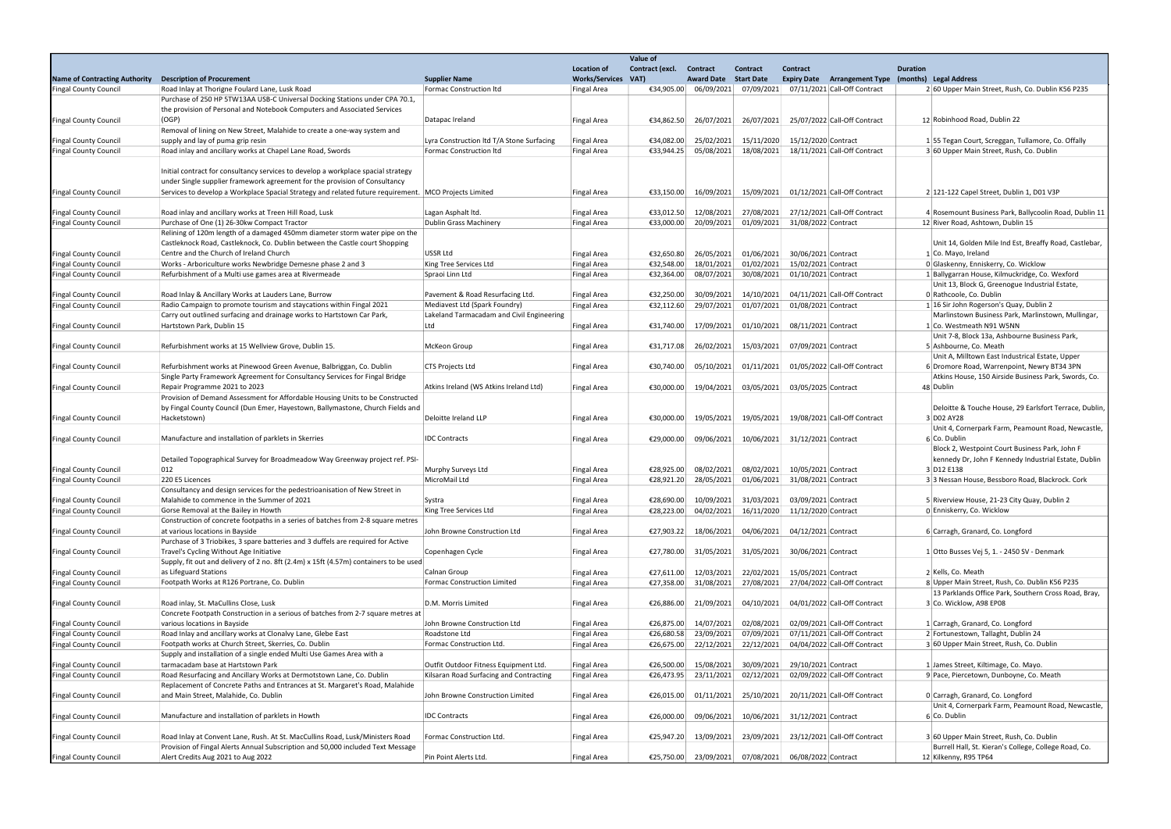|                                                              |                                                                                                                            |                                           |                                          | Value of                 |                                  |                          |                     |                              |                                                                                                        |
|--------------------------------------------------------------|----------------------------------------------------------------------------------------------------------------------------|-------------------------------------------|------------------------------------------|--------------------------|----------------------------------|--------------------------|---------------------|------------------------------|--------------------------------------------------------------------------------------------------------|
|                                                              |                                                                                                                            |                                           | <b>Location of</b>                       | Contract (excl.          | <b>Contract</b>                  | Contract                 | <b>Contract</b>     |                              | <b>Duration</b>                                                                                        |
| <b>Name of Contracting Authority</b>                         | <b>Description of Procurement</b>                                                                                          | <b>Supplier Name</b>                      | Works/Services VAT)                      |                          | <b>Award Date</b>                | <b>Start Date</b>        |                     |                              | Expiry Date Arrangement Type (months) Legal Address                                                    |
| <b>Fingal County Council</b>                                 | Road Inlay at Thorigne Foulard Lane, Lusk Road                                                                             | <b>Formac Construction Itd</b>            | <b>Fingal Area</b>                       |                          | €34,905.00 06/09/2021 07/09/2021 |                          |                     | 07/11/2021 Call-Off Contract | 2 60 Upper Main Street, Rush, Co. Dublin K56 P235                                                      |
|                                                              | Purchase of 250 HP 5TW13AA USB-C Universal Docking Stations under CPA 70.1,                                                |                                           |                                          |                          |                                  |                          |                     |                              |                                                                                                        |
|                                                              | the provision of Personal and Notebook Computers and Associated Services                                                   |                                           |                                          |                          |                                  |                          |                     |                              |                                                                                                        |
| <b>Fingal County Council</b>                                 | (OGP)                                                                                                                      | Datapac Ireland                           | <b>Fingal Area</b>                       | €34,862.50               | 26/07/2021                       | 26/07/2021               |                     | 25/07/2022 Call-Off Contract | 12 Robinhood Road, Dublin 22                                                                           |
|                                                              | Removal of lining on New Street, Malahide to create a one-way system and                                                   |                                           |                                          |                          |                                  |                          |                     |                              |                                                                                                        |
| <b>Fingal County Council</b>                                 | supply and lay of puma grip resin                                                                                          | Lyra Construction Itd T/A Stone Surfacing | Fingal Area                              | €34,082.00               | 25/02/2021                       | 15/11/2020               | 15/12/2020 Contract |                              | 155 Tegan Court, Screggan, Tullamore, Co. Offally                                                      |
| <b>Fingal County Council</b>                                 | Road inlay and ancillary works at Chapel Lane Road, Swords                                                                 | <b>Formac Construction Itd</b>            | <b>Fingal Area</b>                       | €33,944.25               | 05/08/2021                       | 18/08/2021               |                     | 18/11/2021 Call-Off Contract | 3 60 Upper Main Street, Rush, Co. Dublin                                                               |
|                                                              |                                                                                                                            |                                           |                                          |                          |                                  |                          |                     |                              |                                                                                                        |
|                                                              | Initial contract for consultancy services to develop a workplace spacial strategy                                          |                                           |                                          |                          |                                  |                          |                     |                              |                                                                                                        |
|                                                              | under Single supplier framework agreement for the provision of Consultancy                                                 |                                           |                                          |                          |                                  |                          |                     |                              |                                                                                                        |
| <b>Fingal County Council</b>                                 | Services to develop a Workplace Spacial Strategy and related future requirement. MCO Projects Limited                      |                                           | <b>Fingal Area</b>                       | €33,150.00               |                                  | 16/09/2021 15/09/2021    |                     | 01/12/2021 Call-Off Contract | 2 121-122 Capel Street, Dublin 1, D01 V3P                                                              |
|                                                              |                                                                                                                            |                                           |                                          |                          |                                  |                          |                     |                              |                                                                                                        |
| <b>Fingal County Council</b>                                 | Road inlay and ancillary works at Treen Hill Road, Lusk                                                                    | Lagan Asphalt Itd.                        | <b>Fingal Area</b>                       | €33,012.50<br>€33,000.00 | 12/08/2021<br>20/09/2021         | 27/08/2021<br>01/09/2021 | 31/08/2022 Contract | 27/12/2021 Call-Off Contract | 4 Rosemount Business Park, Ballycoolin Road, Dublin 11                                                 |
| Fingal County Council                                        | Purchase of One (1) 26-30kw Compact Tractor<br>Relining of 120m length of a damaged 450mm diameter storm water pipe on the | Dublin Grass Machinery                    | <b>Fingal Area</b>                       |                          |                                  |                          |                     |                              | 12 River Road, Ashtown, Dublin 15                                                                      |
|                                                              | Castleknock Road, Castleknock, Co. Dublin between the Castle court Shopping                                                |                                           |                                          |                          |                                  |                          |                     |                              | Unit 14, Golden Mile Ind Est, Breaffy Road, Castlebar                                                  |
| <b>Fingal County Council</b>                                 | Centre and the Church of Ireland Church                                                                                    | USSR Ltd                                  | <b>Fingal Area</b>                       | €32,650.80               | 26/05/2021                       | 01/06/2021               | 30/06/2021 Contract |                              | 1 Co. Mayo, Ireland                                                                                    |
| <b>Fingal County Council</b>                                 | Works - Arboriculture works Newbridge Demesne phase 2 and 3                                                                | King Tree Services Ltd                    | <b>Fingal Area</b>                       | €32,548.00               | 18/01/2021                       | 01/02/2021               | 15/02/2021 Contract |                              | 0 Glaskenny, Enniskerry, Co. Wicklow                                                                   |
| <b>Fingal County Council</b>                                 | Refurbishment of a Multi use games area at Rivermeade                                                                      | Spraoi Linn Ltd                           | <b>Fingal Area</b>                       | €32,364.00               | 08/07/2021                       | 30/08/2021               | 01/10/2021 Contract |                              | 1 Ballygarran House, Kilmuckridge, Co. Wexford                                                         |
|                                                              |                                                                                                                            |                                           |                                          |                          |                                  |                          |                     |                              | Unit 13, Block G, Greenogue Industrial Estate,                                                         |
| <b>Fingal County Council</b>                                 | Road Inlay & Ancillary Works at Lauders Lane, Burrow                                                                       | Pavement & Road Resurfacing Ltd.          | <b>Fingal Area</b>                       | €32,250.00               | 30/09/2021                       | 14/10/2021               |                     | 04/11/2021 Call-Off Contract | 0 Rathcoole, Co. Dublin                                                                                |
| Fingal County Council                                        | Radio Campaign to promote tourism and staycations within Fingal 2021                                                       | Mediavest Ltd (Spark Foundry)             | <b>Fingal Area</b>                       | €32,112.60               | 29/07/2021                       | 01/07/2021               | 01/08/2021 Contract |                              | 1 16 Sir John Rogerson's Quay, Dublin 2                                                                |
|                                                              | Carry out outlined surfacing and drainage works to Hartstown Car Park,                                                     | Lakeland Tarmacadam and Civil Engineering |                                          |                          |                                  |                          |                     |                              | Marlinstown Business Park, Marlinstown, Mullingar,                                                     |
| Fingal County Council                                        | Hartstown Park, Dublin 15                                                                                                  | Ltd                                       | <b>Fingal Area</b>                       | €31,740.00               | 17/09/2021                       | 01/10/2021               | 08/11/2021 Contract |                              | 1 Co. Westmeath N91 W5NN                                                                               |
|                                                              |                                                                                                                            |                                           |                                          |                          |                                  |                          |                     |                              | Unit 7-8, Block 13a, Ashbourne Business Park,                                                          |
| Fingal County Council                                        | Refurbishment works at 15 Wellview Grove, Dublin 15.                                                                       | McKeon Group                              | <b>Fingal Area</b>                       | €31,717.08               | 26/02/2021                       | 15/03/2021               | 07/09/2021 Contract |                              | 5 Ashbourne, Co. Meath                                                                                 |
|                                                              |                                                                                                                            |                                           |                                          |                          |                                  |                          |                     |                              | Unit A, Milltown East Industrical Estate, Upper                                                        |
| <b>Fingal County Council</b>                                 | Refurbishment works at Pinewood Green Avenue, Balbriggan, Co. Dublin                                                       | <b>CTS Projects Ltd</b>                   | <b>Fingal Area</b>                       | €30,740.00               | 05/10/2021                       | 01/11/2021               |                     | 01/05/2022 Call-Off Contract | 6 Dromore Road, Warrenpoint, Newry BT34 3PN                                                            |
|                                                              | Single Party Framework Agreement for Consultancy Services for Fingal Bridge                                                |                                           |                                          |                          |                                  |                          |                     |                              | Atkins House, 150 Airside Business Park, Swords, Co.                                                   |
| <b>Fingal County Council</b>                                 | Repair Programme 2021 to 2023                                                                                              | Atkins Ireland (WS Atkins Ireland Ltd)    | <b>Fingal Area</b>                       | €30,000.00               | 19/04/2021                       | 03/05/2021               | 03/05/2025 Contract |                              | 48 Dublin                                                                                              |
|                                                              | Provision of Demand Assessment for Affordable Housing Units to be Constructed                                              |                                           |                                          |                          |                                  |                          |                     |                              |                                                                                                        |
|                                                              | by Fingal County Council (Dun Emer, Hayestown, Ballymastone, Church Fields and                                             |                                           |                                          |                          |                                  |                          |                     |                              | Deloitte & Touche House, 29 Earlsfort Terrace, Dublin,                                                 |
| <b>Fingal County Council</b>                                 | Hacketstown)                                                                                                               | Deloitte Ireland LLP                      | <b>Fingal Area</b>                       | €30,000.00               | 19/05/2021                       | 19/05/2021               |                     | 19/08/2021 Call-Off Contract | 3 D02 AY28                                                                                             |
|                                                              |                                                                                                                            |                                           |                                          |                          |                                  |                          |                     |                              | Unit 4, Cornerpark Farm, Peamount Road, Newcastle,                                                     |
| <b>Fingal County Council</b>                                 | Manufacture and installation of parklets in Skerries                                                                       | <b>IDC Contracts</b>                      | <b>Fingal Area</b>                       | €29,000.00               | 09/06/2021                       | 10/06/2021               | 31/12/2021 Contract |                              | 6 Co. Dublin                                                                                           |
|                                                              |                                                                                                                            |                                           |                                          |                          |                                  |                          |                     |                              | Block 2, Westpoint Court Business Park, John F                                                         |
|                                                              | Detailed Topographical Survey for Broadmeadow Way Greenway project ref. PSI-                                               |                                           |                                          |                          |                                  |                          |                     |                              | kennedy Dr, John F Kennedy Industrial Estate, Dublin                                                   |
| <b>Fingal County Council</b>                                 | 012                                                                                                                        | Murphy Surveys Ltd                        | <b>Fingal Area</b>                       | €28,925.00               | 08/02/2021                       | 08/02/2021               | 10/05/2021 Contract |                              | 3 D12 E138                                                                                             |
| <b>Fingal County Council</b>                                 | 220 E5 Licences                                                                                                            | MicroMail Ltd                             | <b>Fingal Area</b>                       | €28,921.20               | 28/05/2021                       | 01/06/2021               | 31/08/2021 Contract |                              | 33 Nessan House, Bessboro Road, Blackrock. Cork                                                        |
|                                                              | Consultancy and design services for the pedestrioanisation of New Street in                                                |                                           |                                          |                          |                                  |                          |                     |                              |                                                                                                        |
| <b>Fingal County Council</b>                                 | Malahide to commence in the Summer of 2021                                                                                 | Systra                                    | <b>Fingal Area</b>                       | €28,690.00               | 10/09/2021                       | 31/03/2021               | 03/09/2021 Contract |                              | 5 Riverview House, 21-23 City Quay, Dublin 2                                                           |
| <b>Fingal County Council</b>                                 | Gorse Removal at the Bailey in Howth                                                                                       | King Tree Services Ltd                    | <b>Fingal Area</b>                       | €28,223.00               | 04/02/2021                       | 16/11/2020               | 11/12/2020 Contract |                              | 0 Enniskerry, Co. Wicklow                                                                              |
|                                                              | Construction of concrete footpaths in a series of batches from 2-8 square metres                                           |                                           |                                          |                          |                                  |                          |                     |                              |                                                                                                        |
| <b>Fingal County Council</b>                                 | at various locations in Bayside                                                                                            | John Browne Construction Ltd              | <b>Fingal Area</b>                       | €27,903.22               | 18/06/2021                       | 04/06/2021               | 04/12/2021 Contract |                              | 6 Carragh, Granard, Co. Longford                                                                       |
|                                                              | Purchase of 3 Triobikes, 3 spare batteries and 3 duffels are required for Active                                           |                                           |                                          |                          |                                  |                          |                     |                              |                                                                                                        |
| <b>Fingal County Council</b>                                 | Travel's Cycling Without Age Initiative                                                                                    | Copenhagen Cycle                          | <b>Fingal Area</b>                       | €27,780.00               | 31/05/2021                       | 31/05/2021               | 30/06/2021 Contract |                              | 1 Otto Busses Vej 5, 1. - 2450 SV - Denmark                                                            |
|                                                              | Supply, fit out and delivery of 2 no. 8ft (2.4m) x 15ft (4.57m) containers to be used                                      |                                           |                                          |                          |                                  |                          |                     |                              |                                                                                                        |
| <b>Fingal County Council</b>                                 | as Lifeguard Stations                                                                                                      | Calnan Group                              | <b>Fingal Area</b>                       | €27,611.00               | 12/03/2021                       | 22/02/2021               | 15/05/2021 Contract |                              | 2 Kells, Co. Meath                                                                                     |
| Fingal County Council                                        | Footpath Works at R126 Portrane, Co. Dublin                                                                                | <b>Formac Construction Limited</b>        | <b>Fingal Area</b>                       | €27,358.00               | 31/08/2021                       | 27/08/2021               |                     | 27/04/2022 Call-Off Contract | 8 Upper Main Street, Rush, Co. Dublin K56 P235<br>13 Parklands Office Park, Southern Cross Road, Bray, |
|                                                              | Road inlay, St. MaCullins Close, Lusk                                                                                      | D.M. Morris Limited                       |                                          | €26,886.00               | 21/09/2021                       | 04/10/2021               |                     | 04/01/2022 Call-Off Contract | 3 Co. Wicklow, A98 EP08                                                                                |
| Fingal County Council                                        | Concrete Footpath Construction in a serious of batches from 2-7 square metres at                                           |                                           | <b>Fingal Area</b>                       |                          |                                  |                          |                     |                              |                                                                                                        |
|                                                              | various locations in Bayside                                                                                               | John Browne Construction Ltd              |                                          | €26,875.00               | 14/07/2021                       | 02/08/2021               |                     | 02/09/2021 Call-Off Contract | 1 Carragh, Granard, Co. Longford                                                                       |
| <b>Fingal County Council</b><br><b>Fingal County Council</b> | Road Inlay and ancillary works at Clonalvy Lane, Glebe East                                                                | Roadstone Ltd                             | <b>Fingal Area</b><br><b>Fingal Area</b> | €26,680.58               | 23/09/2021                       | 07/09/2021               |                     | 07/11/2021 Call-Off Contract | 2 Fortunestown, Tallaght, Dublin 24                                                                    |
| <b>Fingal County Council</b>                                 | Footpath works at Church Street, Skerries, Co. Dublin                                                                      | Formac Construction Ltd.                  | <b>Fingal Area</b>                       | €26,675.00               | 22/12/2021                       | 22/12/2021               |                     | 04/04/2022 Call-Off Contract | 3 60 Upper Main Street, Rush, Co. Dublin                                                               |
|                                                              | Supply and installation of a single ended Multi Use Games Area with a                                                      |                                           |                                          |                          |                                  |                          |                     |                              |                                                                                                        |
| Fingal County Council                                        | tarmacadam base at Hartstown Park                                                                                          | Outfit Outdoor Fitness Equipment Ltd.     | <b>Fingal Area</b>                       | €26,500.00               | 15/08/2021                       | 30/09/2021               | 29/10/2021 Contract |                              | 1 James Street, Kiltimage, Co. Mayo.                                                                   |
| <b>Fingal County Council</b>                                 | Road Resurfacing and Ancillary Works at Dermotstown Lane, Co. Dublin                                                       | Kilsaran Road Surfacing and Contracting   | Fingal Area                              | €26,473.95               | 23/11/2021                       | 02/12/2021               |                     | 02/09/2022 Call-Off Contract | 9 Pace, Piercetown, Dunboyne, Co. Meath                                                                |
|                                                              | Replacement of Concrete Paths and Entrances at St. Margaret's Road, Malahide                                               |                                           |                                          |                          |                                  |                          |                     |                              |                                                                                                        |
| <b>Fingal County Council</b>                                 | and Main Street, Malahide, Co. Dublin                                                                                      | John Browne Construction Limited          | <b>Fingal Area</b>                       | €26,015.00               | 01/11/2021                       | 25/10/2021               |                     | 20/11/2021 Call-Off Contract | 0 Carragh, Granard, Co. Longford                                                                       |
|                                                              |                                                                                                                            |                                           |                                          |                          |                                  |                          |                     |                              | Unit 4, Cornerpark Farm, Peamount Road, Newcastle,                                                     |
| <b>Fingal County Council</b>                                 | Manufacture and installation of parklets in Howth                                                                          | <b>IDC Contracts</b>                      | <b>Fingal Area</b>                       | €26,000.00               | 09/06/2021                       | 10/06/2021               | 31/12/2021 Contract |                              | 6 Co. Dublin                                                                                           |
|                                                              |                                                                                                                            |                                           |                                          |                          |                                  |                          |                     |                              |                                                                                                        |
| <b>Fingal County Council</b>                                 | Road Inlay at Convent Lane, Rush. At St. MacCullins Road, Lusk/Ministers Road                                              | Formac Construction Ltd.                  | <b>Fingal Area</b>                       | €25,947.20               | 13/09/2021                       | 23/09/2021               |                     | 23/12/2021 Call-Off Contract | 3 60 Upper Main Street, Rush, Co. Dublin                                                               |
|                                                              | Provision of Fingal Alerts Annual Subscription and 50,000 included Text Message                                            |                                           |                                          |                          |                                  |                          |                     |                              | Burrell Hall, St. Kieran's College, College Road, Co.                                                  |
| <b>Fingal County Council</b>                                 | Alert Credits Aug 2021 to Aug 2022                                                                                         | Pin Point Alerts Ltd.                     | <b>Fingal Area</b>                       | €25,750.00               | 23/09/2021                       | 07/08/2021               | 06/08/2022 Contract |                              | 12 Kilkenny, R95 TP64                                                                                  |
|                                                              |                                                                                                                            |                                           |                                          |                          |                                  |                          |                     |                              |                                                                                                        |